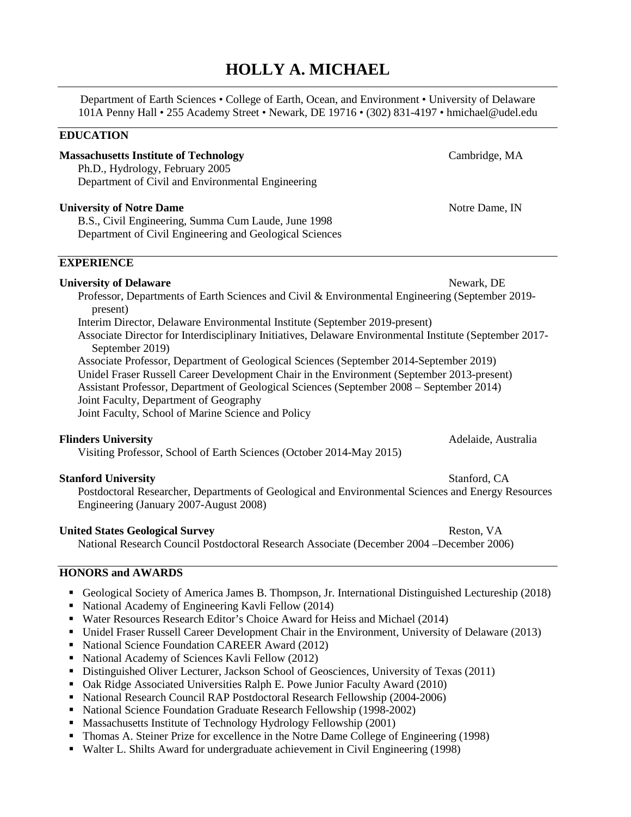# **HOLLY A. MICHAEL**

Department of Earth Sciences • College of Earth, Ocean, and Environment • University of Delaware 101A Penny Hall • 255 Academy Street • Newark, DE 19716 • (302) 831-4197 • hmichael@udel.edu

## **EDUCATION**

**Massachusetts Institute of Technology** Cambridge, MA Ph.D., Hydrology, February 2005 Department of Civil and Environmental Engineering

## **University of Notre Dame** Notre Dame, IN

B.S., Civil Engineering, Summa Cum Laude, June 1998 Department of Civil Engineering and Geological Sciences

## **EXPERIENCE**

**University of Delaware** Newark, DE Professor, Departments of Earth Sciences and Civil & Environmental Engineering (September 2019 present)

Interim Director, Delaware Environmental Institute (September 2019-present)

Associate Director for Interdisciplinary Initiatives, Delaware Environmental Institute (September 2017- September 2019)

Associate Professor, Department of Geological Sciences (September 2014-September 2019) Unidel Fraser Russell Career Development Chair in the Environment (September 2013-present) Assistant Professor, Department of Geological Sciences (September 2008 – September 2014) Joint Faculty, Department of Geography Joint Faculty, School of Marine Science and Policy

## **Flinders University** Adelaide, Australia

Visiting Professor, School of Earth Sciences (October 2014-May 2015)

## **Stanford University** Stanford, CA

Postdoctoral Researcher, Departments of Geological and Environmental Sciences and Energy Resources Engineering (January 2007-August 2008)

#### United States Geological Survey **Reston, VA** Reston, VA

National Research Council Postdoctoral Research Associate (December 2004 –December 2006)

## **HONORS and AWARDS**

- Geological Society of America James B. Thompson, Jr. International Distinguished Lectureship (2018)
- National Academy of Engineering Kavli Fellow (2014)
- Water Resources Research Editor's Choice Award for Heiss and Michael (2014)
- Unidel Fraser Russell Career Development Chair in the Environment, University of Delaware (2013)
- National Science Foundation CAREER Award (2012)
- National Academy of Sciences Kavli Fellow (2012)
- Distinguished Oliver Lecturer, Jackson School of Geosciences, University of Texas (2011)
- Oak Ridge Associated Universities Ralph E. Powe Junior Faculty Award (2010)
- National Research Council RAP Postdoctoral Research Fellowship (2004-2006)
- National Science Foundation Graduate Research Fellowship (1998-2002)
- **Massachusetts Institute of Technology Hydrology Fellowship (2001)**
- Thomas A. Steiner Prize for excellence in the Notre Dame College of Engineering (1998)
- Walter L. Shilts Award for undergraduate achievement in Civil Engineering (1998)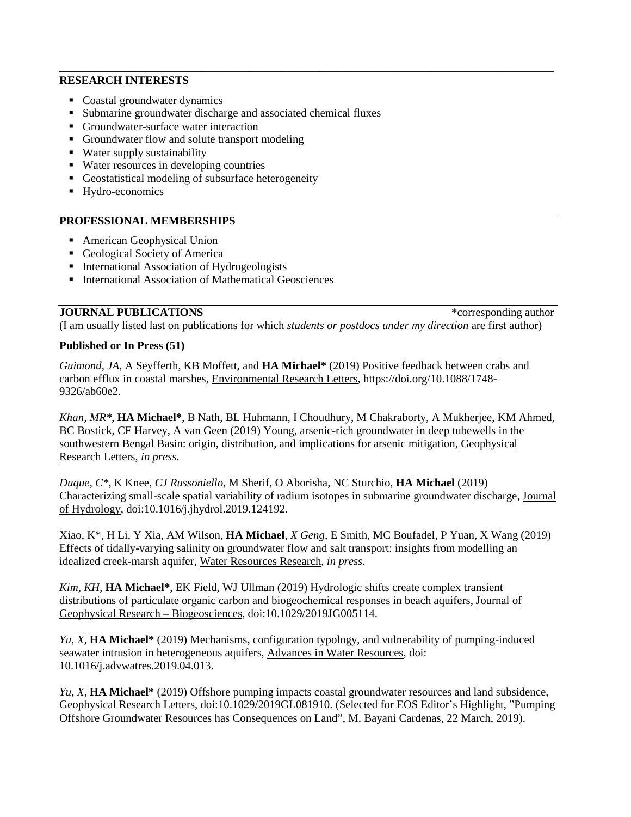### **RESEARCH INTERESTS**

- Coastal groundwater dynamics
- Submarine groundwater discharge and associated chemical fluxes
- Groundwater-surface water interaction
- Groundwater flow and solute transport modeling
- Water supply sustainability
- Water resources in developing countries
- Geostatistical modeling of subsurface heterogeneity
- Hydro-economics

## **PROFESSIONAL MEMBERSHIPS**

- American Geophysical Union
- Geological Society of America
- **International Association of Hydrogeologists**
- International Association of Mathematical Geosciences

**JOURNAL PUBLICATIONS** \*corresponding author

(I am usually listed last on publications for which *students or postdocs under my direction* are first author)

## **Published or In Press (51)**

*Guimond, JA*, A Seyfferth, KB Moffett, and **HA Michael\*** (2019) Positive feedback between crabs and carbon efflux in coastal marshes, Environmental Research Letters, https://doi.org/10.1088/1748- 9326/ab60e2.

\_\_\_\_\_\_\_\_\_\_\_\_\_\_\_\_\_\_\_\_\_\_\_\_\_\_\_\_\_\_\_\_\_\_\_\_\_\_\_\_\_\_\_\_\_\_\_\_\_\_\_\_\_\_\_\_\_\_\_\_\_\_\_\_\_\_\_\_\_\_\_\_\_\_\_\_\_\_\_\_

*Khan, MR\**, **HA Michael\***, B Nath, BL Huhmann, I Choudhury, M Chakraborty, A Mukherjee, KM Ahmed, BC Bostick, CF Harvey, A van Geen (2019) Young, arsenic-rich groundwater in deep tubewells in the southwestern Bengal Basin: origin, distribution, and implications for arsenic mitigation, Geophysical Research Letters, *in press*.

*Duque, C\*,* K Knee, *CJ Russoniello*, M Sherif, O Aborisha, NC Sturchio, **HA Michael** (2019) Characterizing small-scale spatial variability of radium isotopes in submarine groundwater discharge, Journal of Hydrology, doi:10.1016/j.jhydrol.2019.124192.

Xiao, K\*, H Li, Y Xia, AM Wilson, **HA Michael**, *X Geng*, E Smith, MC Boufadel, P Yuan, X Wang (2019) Effects of tidally-varying salinity on groundwater flow and salt transport: insights from modelling an idealized creek-marsh aquifer, Water Resources Research, *in press*.

*Kim, KH,* **HA Michael\***, EK Field, WJ Ullman (2019) Hydrologic shifts create complex transient distributions of particulate organic carbon and biogeochemical responses in beach aquifers, Journal of Geophysical Research – Biogeosciences, doi:10.1029/2019JG005114.

*Yu, X,* **HA Michael\*** (2019) Mechanisms, configuration typology, and vulnerability of pumping-induced seawater intrusion in heterogeneous aquifers, Advances in Water Resources, doi: 10.1016/j.advwatres.2019.04.013.

*Yu, X,* **HA Michael\*** (2019) Offshore pumping impacts coastal groundwater resources and land subsidence, Geophysical Research Letters, doi:10.1029/2019GL081910. (Selected for EOS Editor's Highlight, "Pumping Offshore Groundwater Resources has Consequences on Land", M. Bayani Cardenas, 22 March, 2019).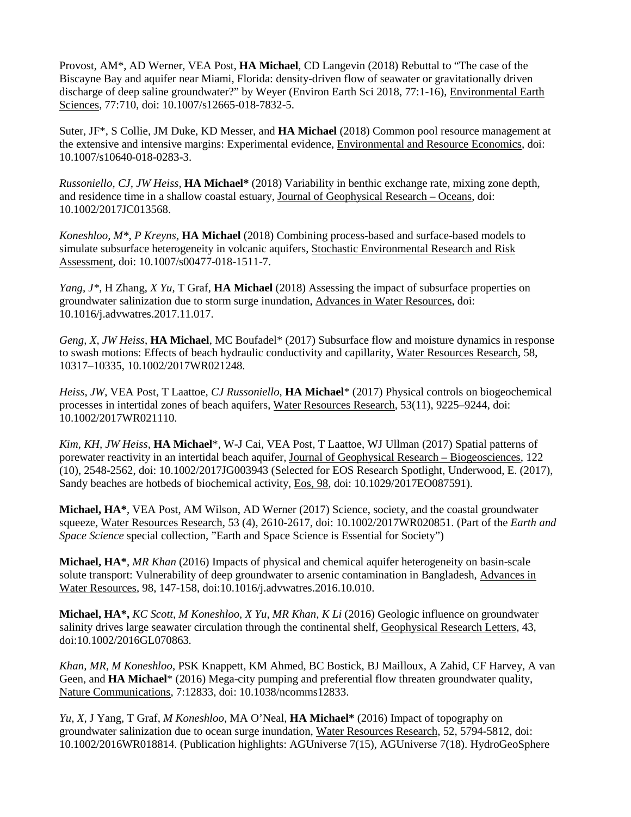Provost, AM\*, AD Werner, VEA Post, **HA Michael**, CD Langevin (2018) Rebuttal to "The case of the Biscayne Bay and aquifer near Miami, Florida: density-driven flow of seawater or gravitationally driven discharge of deep saline groundwater?" by Weyer (Environ Earth Sci 2018, 77:1-16), Environmental Earth Sciences, 77:710, doi: 10.1007/s12665-018-7832-5.

Suter, JF\*, S Collie, JM Duke, KD Messer, and **HA Michael** (2018) Common pool resource management at the extensive and intensive margins: Experimental evidence, Environmental and Resource Economics, doi: 10.1007/s10640-018-0283-3.

*Russoniello, CJ, JW Heiss,* **HA Michael\*** (2018) Variability in benthic exchange rate, mixing zone depth, and residence time in a shallow coastal estuary, Journal of Geophysical Research – Oceans, doi: 10.1002/2017JC013568.

*Koneshloo, M\*, P Kreyns,* **HA Michael** (2018) Combining process-based and surface-based models to simulate subsurface heterogeneity in volcanic aquifers, Stochastic Environmental Research and Risk Assessment, doi: 10.1007/s00477-018-1511-7.

*Yang, J\*,* H Zhang, *X Yu,* T Graf, **HA Michael** (2018) Assessing the impact of subsurface properties on groundwater salinization due to storm surge inundation, Advances in Water Resources, doi: 10.1016/j.advwatres.2017.11.017.

*Geng, X*, *JW Heiss*, **HA Michael**, MC Boufadel\* (2017) Subsurface flow and moisture dynamics in response to swash motions: Effects of beach hydraulic conductivity and capillarity, Water Resources Research, 58, 10317–10335, 10.1002/2017WR021248.

*Heiss, JW*, VEA Post, T Laattoe, *CJ Russoniello*, **HA Michael**\* (2017) Physical controls on biogeochemical processes in intertidal zones of beach aquifers, Water Resources Research, 53(11), 9225–9244, doi: 10.1002/2017WR021110.

*Kim, KH, JW Heiss,* **HA Michael**\*, W-J Cai, VEA Post, T Laattoe, WJ Ullman (2017) Spatial patterns of porewater reactivity in an intertidal beach aquifer, Journal of Geophysical Research – Biogeosciences, 122 (10), 2548-2562, doi: 10.1002/2017JG003943 (Selected for EOS Research Spotlight, Underwood, E. (2017), Sandy beaches are hotbeds of biochemical activity, Eos, 98*,* doi: 10.1029/2017EO087591).

**Michael, HA\***, VEA Post, AM Wilson, AD Werner (2017) Science, society, and the coastal groundwater squeeze, Water Resources Research, 53 (4), 2610-2617, doi: 10.1002/2017WR020851. (Part of the *Earth and Space Science* special collection, "Earth and Space Science is Essential for Society")

**Michael, HA\***, *MR Khan* (2016) Impacts of physical and chemical aquifer heterogeneity on basin-scale solute transport: Vulnerability of deep groundwater to arsenic contamination in Bangladesh, Advances in Water Resources, 98, 147-158, doi:10.1016/j.advwatres.2016.10.010.

**Michael, HA\*,** *KC Scott, M Koneshloo, X Yu, MR Khan, K Li* (2016) Geologic influence on groundwater salinity drives large seawater circulation through the continental shelf, Geophysical Research Letters, 43*,*  doi:10.1002/2016GL070863*.*

*Khan, MR, M Koneshloo*, PSK Knappett, KM Ahmed, BC Bostick, BJ Mailloux, A Zahid, CF Harvey, A van Geen, and **HA Michael**\* (2016) Mega-city pumping and preferential flow threaten groundwater quality, Nature Communications, 7:12833, doi: 10.1038/ncomms12833.

*Yu, X,* J Yang*,* T Graf, *M Koneshloo*, MA O'Neal, **HA Michael\*** (2016) Impact of topography on groundwater salinization due to ocean surge inundation, Water Resources Research, 52, 5794-5812, doi: 10.1002/2016WR018814. (Publication highlights: AGUniverse 7(15), AGUniverse 7(18). HydroGeoSphere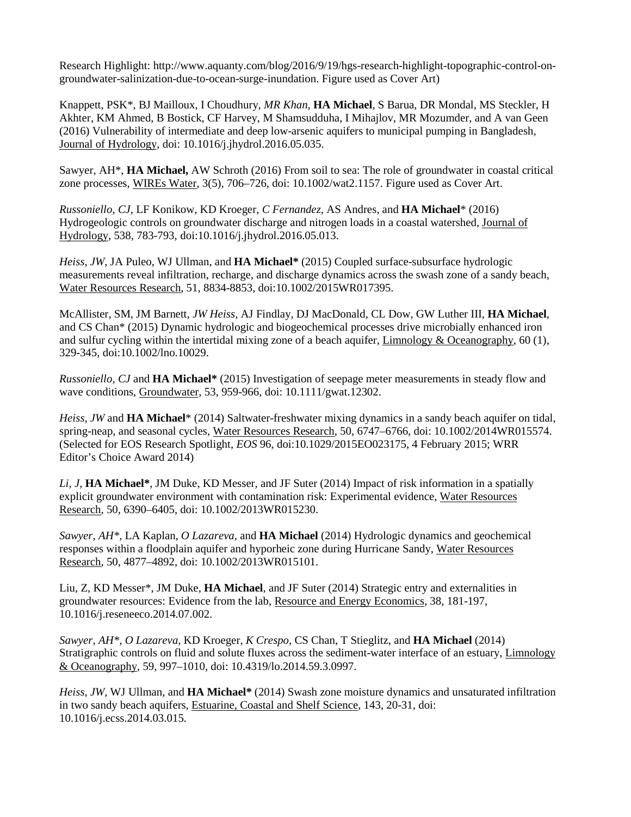Research Highlight: http://www.aquanty.com/blog/2016/9/19/hgs-research-highlight-topographic-control-ongroundwater-salinization-due-to-ocean-surge-inundation. Figure used as Cover Art)

Knappett, PSK\*, BJ Mailloux, I Choudhury, *MR Khan*, **HA Michael**, S Barua, DR Mondal, MS Steckler, H Akhter, KM Ahmed, B Bostick, CF Harvey, M Shamsudduha, I Mihajlov, MR Mozumder, and A van Geen (2016) Vulnerability of intermediate and deep low-arsenic aquifers to municipal pumping in Bangladesh, Journal of Hydrology, doi: 10.1016/j.jhydrol.2016.05.035.

Sawyer, AH\*, **HA Michael,** AW Schroth (2016) From soil to sea: The role of groundwater in coastal critical zone processes, WIREs Water, 3(5), 706–726, doi: 10.1002/wat2.1157. Figure used as Cover Art.

*Russoniello*, *CJ,* LF Konikow, KD Kroeger, *C Fernandez*, AS Andres, and **HA Michael**\* (2016) Hydrogeologic controls on groundwater discharge and nitrogen loads in a coastal watershed, Journal of Hydrology, 538, 783-793, doi:10.1016/j.jhydrol.2016.05.013.

*Heiss, JW*, JA Puleo, WJ Ullman, and **HA Michael\*** (2015) Coupled surface-subsurface hydrologic measurements reveal infiltration, recharge, and discharge dynamics across the swash zone of a sandy beach, Water Resources Research, 51, 8834-8853, doi:10.1002/2015WR017395.

McAllister, SM, JM Barnett, *JW Heiss,* AJ Findlay, DJ MacDonald, CL Dow, GW Luther III, **HA Michael**, and CS Chan\* (2015) Dynamic hydrologic and biogeochemical processes drive microbially enhanced iron and sulfur cycling within the intertidal mixing zone of a beach aquifer, Limnology & Oceanography, 60 (1), 329-345, doi:10.1002/lno.10029.

*Russoniello, CJ* and **HA Michael\*** (2015) Investigation of seepage meter measurements in steady flow and wave conditions, Groundwater, 53, 959-966, doi: 10.1111/gwat.12302.

*Heiss, JW* and **HA Michael**\* (2014) Saltwater-freshwater mixing dynamics in a sandy beach aquifer on tidal, spring-neap, and seasonal cycles, Water Resources Research, 50, 6747–6766, doi: 10.1002/2014WR015574. (Selected for EOS Research Spotlight, *EOS* 96, doi:10.1029/2015EO023175, 4 February 2015; WRR Editor's Choice Award 2014)

*Li, J,* **HA Michael\***, JM Duke, KD Messer, and JF Suter (2014) Impact of risk information in a spatially explicit groundwater environment with contamination risk: Experimental evidence, Water Resources Research, 50, 6390–6405, doi: 10.1002/2013WR015230.

*Sawyer, AH\*,* LA Kaplan, *O Lazareva,* and **HA Michael** (2014) Hydrologic dynamics and geochemical responses within a floodplain aquifer and hyporheic zone during Hurricane Sandy, Water Resources Research, 50, 4877–4892, doi: 10.1002/2013WR015101.

Liu, Z, KD Messer\*, JM Duke, **HA Michael**, and JF Suter (2014) Strategic entry and externalities in groundwater resources: Evidence from the lab, Resource and Energy Economics, 38, 181-197, 10.1016/j.reseneeco.2014.07.002.

*Sawyer, AH\*, O Lazareva,* KD Kroeger, *K Crespo,* CS Chan, T Stieglitz, and **HA Michael** (2014) Stratigraphic controls on fluid and solute fluxes across the sediment-water interface of an estuary, Limnology & Oceanography, 59, 997–1010, doi: 10.4319/lo.2014.59.3.0997.

*Heiss, JW*, WJ Ullman, and **HA Michael\*** (2014) Swash zone moisture dynamics and unsaturated infiltration in two sandy beach aquifers, Estuarine, Coastal and Shelf Science, 143, 20-31, doi: 10.1016/j.ecss.2014.03.015.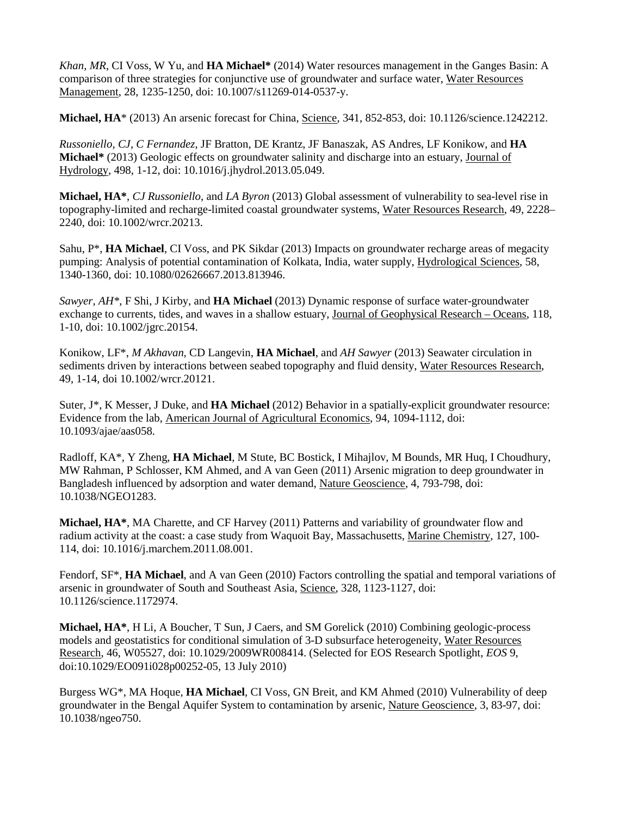*Khan, MR*, CI Voss, W Yu, and **HA Michael\*** (2014) Water resources management in the Ganges Basin: A comparison of three strategies for conjunctive use of groundwater and surface water, Water Resources Management, 28, 1235-1250, doi: 10.1007/s11269-014-0537-y.

**Michael, HA**\* (2013) An arsenic forecast for China, Science, 341, 852-853, doi: 10.1126/science.1242212.

*Russoniello, CJ, C Fernandez*, JF Bratton, DE Krantz, JF Banaszak, AS Andres, LF Konikow, and **HA Michael\*** (2013) Geologic effects on groundwater salinity and discharge into an estuary, Journal of Hydrology, 498, 1-12, doi: 10.1016/j.jhydrol.2013.05.049.

**Michael, HA\***, *CJ Russoniello,* and *LA Byron* (2013) Global assessment of vulnerability to sea-level rise in topography-limited and recharge-limited coastal groundwater systems, Water Resources Research, 49, 2228– 2240, doi: 10.1002/wrcr.20213.

Sahu, P\*, **HA Michael**, CI Voss, and PK Sikdar (2013) Impacts on groundwater recharge areas of megacity pumping: Analysis of potential contamination of Kolkata, India, water supply, Hydrological Sciences, 58, 1340-1360, doi: 10.1080/02626667.2013.813946.

*Sawyer, AH\**, F Shi, J Kirby, and **HA Michael** (2013) Dynamic response of surface water-groundwater exchange to currents, tides, and waves in a shallow estuary, Journal of Geophysical Research – Oceans, 118, 1-10, doi: 10.1002/jgrc.20154.

Konikow, LF\*, *M Akhavan,* CD Langevin, **HA Michael**, and *AH Sawyer* (2013) Seawater circulation in sediments driven by interactions between seabed topography and fluid density, Water Resources Research, 49, 1-14, doi 10.1002/wrcr.20121.

Suter, J\*, K Messer, J Duke, and **HA Michael** (2012) Behavior in a spatially-explicit groundwater resource: Evidence from the lab, American Journal of Agricultural Economics, 94, 1094-1112, doi: 10.1093/ajae/aas058.

Radloff, KA\*, Y Zheng, **HA Michael**, M Stute, BC Bostick, I Mihajlov, M Bounds, MR Huq, I Choudhury, MW Rahman, P Schlosser, KM Ahmed, and A van Geen (2011) Arsenic migration to deep groundwater in Bangladesh influenced by adsorption and water demand, Nature Geoscience, 4, 793-798, doi: 10.1038/NGEO1283.

**Michael, HA\***, MA Charette, and CF Harvey (2011) Patterns and variability of groundwater flow and radium activity at the coast: a case study from Waquoit Bay, Massachusetts, Marine Chemistry*,* 127, 100- 114, doi: 10.1016/j.marchem.2011.08.001.

Fendorf, SF\*, **HA Michael**, and A van Geen (2010) Factors controlling the spatial and temporal variations of arsenic in groundwater of South and Southeast Asia, Science, 328, 1123-1127, doi: 10.1126/science.1172974.

**Michael, HA\***, H Li, A Boucher, T Sun, J Caers, and SM Gorelick (2010) Combining geologic-process models and geostatistics for conditional simulation of 3-D subsurface heterogeneity, Water Resources Research, 46, W05527, doi: 10.1029/2009WR008414. (Selected for EOS Research Spotlight, *EOS* 9, doi:10.1029/EO091i028p00252-05*,* 13 July 2010)

Burgess WG\*, MA Hoque, **HA Michael**, CI Voss, GN Breit, and KM Ahmed (2010) Vulnerability of deep groundwater in the Bengal Aquifer System to contamination by arsenic, Nature Geoscience, 3, 83-97, doi: 10.1038/ngeo750.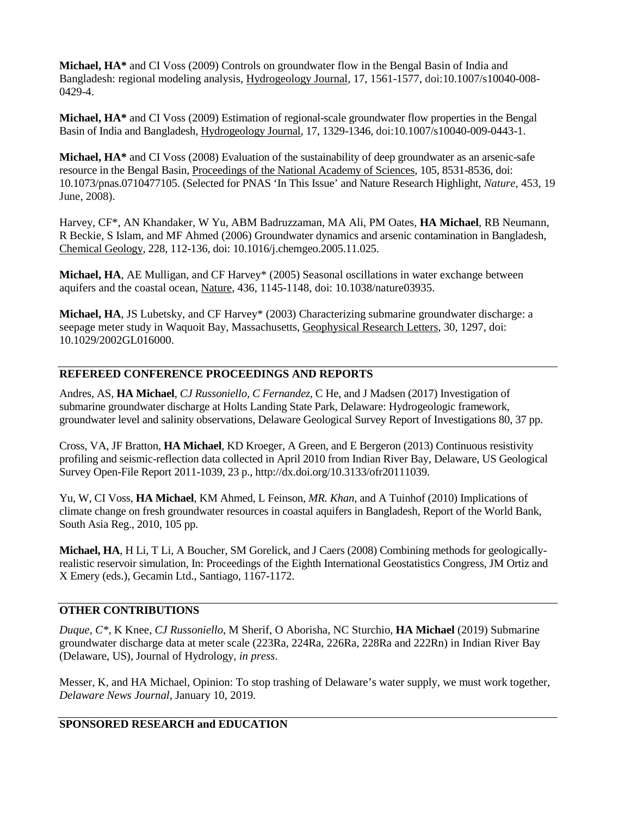**Michael, HA\*** and CI Voss (2009) Controls on groundwater flow in the Bengal Basin of India and Bangladesh: regional modeling analysis, Hydrogeology Journal, 17, 1561-1577, doi:10.1007/s10040-008- 0429-4.

**Michael, HA\*** and CI Voss (2009) Estimation of regional-scale groundwater flow properties in the Bengal Basin of India and Bangladesh, Hydrogeology Journal, 17, 1329-1346, doi:10.1007/s10040-009-0443-1.

**Michael, HA\*** and CI Voss (2008) Evaluation of the sustainability of deep groundwater as an arsenic-safe resource in the Bengal Basin, Proceedings of the National Academy of Sciences, 105, 8531-8536, doi: 10.1073/pnas.0710477105. (Selected for PNAS 'In This Issue' and Nature Research Highlight, *Nature*, 453, 19 June, 2008).

Harvey, CF\*, AN Khandaker, W Yu, ABM Badruzzaman, MA Ali, PM Oates, **HA Michael**, RB Neumann, R Beckie, S Islam, and MF Ahmed (2006) Groundwater dynamics and arsenic contamination in Bangladesh, Chemical Geology, 228, 112-136, doi: 10.1016/j.chemgeo.2005.11.025.

**Michael, HA**, AE Mulligan, and CF Harvey\* (2005) Seasonal oscillations in water exchange between aquifers and the coastal ocean, Nature, 436, 1145-1148, doi: 10.1038/nature03935.

**Michael, HA**, JS Lubetsky, and CF Harvey\* (2003) Characterizing submarine groundwater discharge: a seepage meter study in Waquoit Bay, Massachusetts, Geophysical Research Letters, 30, 1297, doi: 10.1029/2002GL016000.

## **REFEREED CONFERENCE PROCEEDINGS AND REPORTS**

Andres, AS, **HA Michael**, *CJ Russoniello, C Fernandez*, C He, and J Madsen (2017) Investigation of submarine groundwater discharge at Holts Landing State Park, Delaware: Hydrogeologic framework, groundwater level and salinity observations, Delaware Geological Survey Report of Investigations 80, 37 pp.

Cross, VA, JF Bratton, **HA Michael**, KD Kroeger, A Green, and E Bergeron (2013) Continuous resistivity profiling and seismic-reflection data collected in April 2010 from Indian River Bay, Delaware, US Geological Survey Open-File Report 2011-1039, 23 p., http://dx.doi.org/10.3133/ofr20111039.

Yu, W, CI Voss, **HA Michael**, KM Ahmed, L Feinson, *MR. Khan*, and A Tuinhof (2010) Implications of climate change on fresh groundwater resources in coastal aquifers in Bangladesh, Report of the World Bank, South Asia Reg., 2010, 105 pp.

**Michael, HA**, H Li, T Li, A Boucher, SM Gorelick, and J Caers (2008) Combining methods for geologicallyrealistic reservoir simulation, In: Proceedings of the Eighth International Geostatistics Congress, JM Ortiz and X Emery (eds.), Gecamin Ltd., Santiago, 1167-1172.

## **OTHER CONTRIBUTIONS**

*Duque, C\*,* K Knee, *CJ Russoniello*, M Sherif, O Aborisha, NC Sturchio, **HA Michael** (2019) Submarine groundwater discharge data at meter scale (223Ra, 224Ra, 226Ra, 228Ra and 222Rn) in Indian River Bay (Delaware, US), Journal of Hydrology, *in press*.

Messer, K, and HA Michael, Opinion: To stop trashing of Delaware's water supply, we must work together, *Delaware News Journal*, January 10, 2019.

## **SPONSORED RESEARCH and EDUCATION**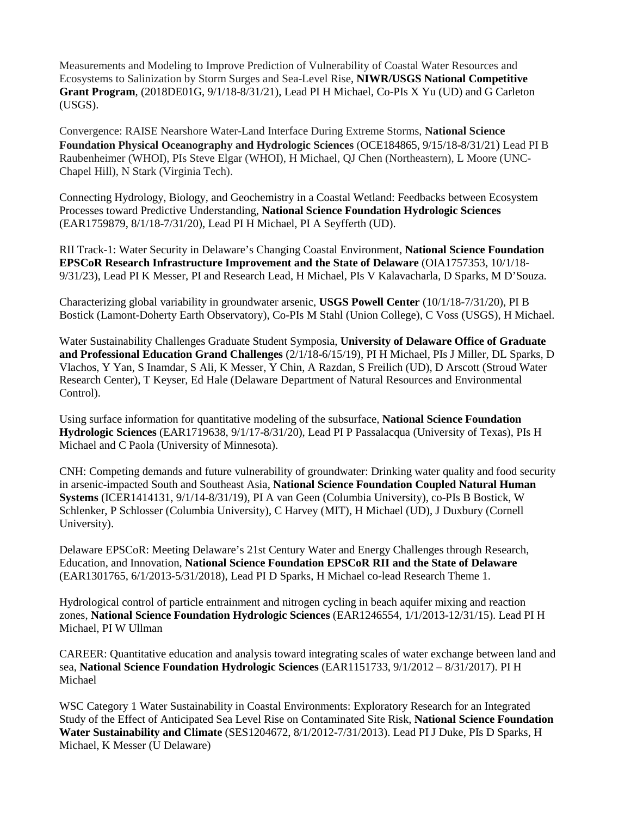Measurements and Modeling to Improve Prediction of Vulnerability of Coastal Water Resources and Ecosystems to Salinization by Storm Surges and Sea-Level Rise, **NIWR/USGS National Competitive Grant Program**, (2018DE01G, 9/1/18-8/31/21), Lead PI H Michael, Co-PIs X Yu (UD) and G Carleton (USGS).

Convergence: RAISE Nearshore Water-Land Interface During Extreme Storms, **National Science Foundation Physical Oceanography and Hydrologic Sciences** (OCE184865, 9/15/18-8/31/21) Lead PI B Raubenheimer (WHOI), PIs Steve Elgar (WHOI), H Michael, QJ Chen (Northeastern), L Moore (UNC-Chapel Hill), N Stark (Virginia Tech).

Connecting Hydrology, Biology, and Geochemistry in a Coastal Wetland: Feedbacks between Ecosystem Processes toward Predictive Understanding, **National Science Foundation Hydrologic Sciences** (EAR1759879, 8/1/18-7/31/20), Lead PI H Michael, PI A Seyfferth (UD).

RII Track-1: Water Security in Delaware's Changing Coastal Environment, **National Science Foundation EPSCoR Research Infrastructure Improvement and the State of Delaware** (OIA1757353, 10/1/18- 9/31/23), Lead PI K Messer, PI and Research Lead, H Michael, PIs V Kalavacharla, D Sparks, M D'Souza.

Characterizing global variability in groundwater arsenic, **USGS Powell Center** (10/1/18-7/31/20), PI B Bostick (Lamont-Doherty Earth Observatory), Co-PIs M Stahl (Union College), C Voss (USGS), H Michael.

Water Sustainability Challenges Graduate Student Symposia, **University of Delaware Office of Graduate and Professional Education Grand Challenges** (2/1/18-6/15/19), PI H Michael, PIs J Miller, DL Sparks, D Vlachos, Y Yan, S Inamdar, S Ali, K Messer, Y Chin, A Razdan, S Freilich (UD), D Arscott (Stroud Water Research Center), T Keyser, Ed Hale (Delaware Department of Natural Resources and Environmental Control).

Using surface information for quantitative modeling of the subsurface, **National Science Foundation Hydrologic Sciences** (EAR1719638, 9/1/17-8/31/20), Lead PI P Passalacqua (University of Texas), PIs H Michael and C Paola (University of Minnesota).

CNH: Competing demands and future vulnerability of groundwater: Drinking water quality and food security in arsenic-impacted South and Southeast Asia, **National Science Foundation Coupled Natural Human Systems** (ICER1414131, 9/1/14-8/31/19), PI A van Geen (Columbia University), co-PIs B Bostick, W Schlenker, P Schlosser (Columbia University), C Harvey (MIT), H Michael (UD), J Duxbury (Cornell University).

Delaware EPSCoR: Meeting Delaware's 21st Century Water and Energy Challenges through Research, Education, and Innovation, **National Science Foundation EPSCoR RII and the State of Delaware** (EAR1301765, 6/1/2013-5/31/2018), Lead PI D Sparks, H Michael co-lead Research Theme 1.

Hydrological control of particle entrainment and nitrogen cycling in beach aquifer mixing and reaction zones, **National Science Foundation Hydrologic Sciences** (EAR1246554, 1/1/2013-12/31/15). Lead PI H Michael, PI W Ullman

CAREER: Quantitative education and analysis toward integrating scales of water exchange between land and sea, **National Science Foundation Hydrologic Sciences** (EAR1151733, 9/1/2012 – 8/31/2017). PI H Michael

WSC Category 1 Water Sustainability in Coastal Environments: Exploratory Research for an Integrated Study of the Effect of Anticipated Sea Level Rise on Contaminated Site Risk, **National Science Foundation Water Sustainability and Climate** (SES1204672, 8/1/2012-7/31/2013). Lead PI J Duke, PIs D Sparks, H Michael, K Messer (U Delaware)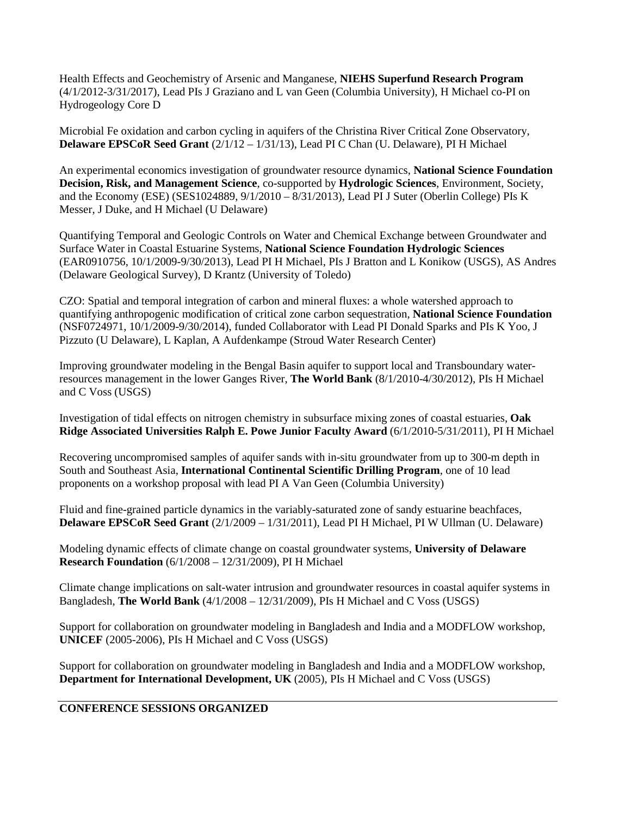Health Effects and Geochemistry of Arsenic and Manganese, **NIEHS Superfund Research Program** (4/1/2012-3/31/2017), Lead PIs J Graziano and L van Geen (Columbia University), H Michael co-PI on Hydrogeology Core D

Microbial Fe oxidation and carbon cycling in aquifers of the Christina River Critical Zone Observatory, **Delaware EPSCoR Seed Grant** (2/1/12 – 1/31/13), Lead PI C Chan (U. Delaware), PI H Michael

An experimental economics investigation of groundwater resource dynamics, **National Science Foundation Decision, Risk, and Management Science**, co-supported by **Hydrologic Sciences**, Environment, Society, and the Economy (ESE) (SES1024889, 9/1/2010 – 8/31/2013), Lead PI J Suter (Oberlin College) PIs K Messer, J Duke, and H Michael (U Delaware)

Quantifying Temporal and Geologic Controls on Water and Chemical Exchange between Groundwater and Surface Water in Coastal Estuarine Systems, **National Science Foundation Hydrologic Sciences**  (EAR0910756, 10/1/2009-9/30/2013), Lead PI H Michael, PIs J Bratton and L Konikow (USGS), AS Andres (Delaware Geological Survey), D Krantz (University of Toledo)

CZO: Spatial and temporal integration of carbon and mineral fluxes: a whole watershed approach to quantifying anthropogenic modification of critical zone carbon sequestration, **National Science Foundation**  (NSF0724971, 10/1/2009-9/30/2014), funded Collaborator with Lead PI Donald Sparks and PIs K Yoo, J Pizzuto (U Delaware), L Kaplan, A Aufdenkampe (Stroud Water Research Center)

Improving groundwater modeling in the Bengal Basin aquifer to support local and Transboundary waterresources management in the lower Ganges River, **The World Bank** (8/1/2010-4/30/2012), PIs H Michael and C Voss (USGS)

Investigation of tidal effects on nitrogen chemistry in subsurface mixing zones of coastal estuaries, **Oak Ridge Associated Universities Ralph E. Powe Junior Faculty Award** (6/1/2010-5/31/2011), PI H Michael

Recovering uncompromised samples of aquifer sands with in-situ groundwater from up to 300-m depth in South and Southeast Asia, **International Continental Scientific Drilling Program**, one of 10 lead proponents on a workshop proposal with lead PI A Van Geen (Columbia University)

Fluid and fine-grained particle dynamics in the variably-saturated zone of sandy estuarine beachfaces, **Delaware EPSCoR Seed Grant** (2/1/2009 – 1/31/2011), Lead PI H Michael, PI W Ullman (U. Delaware)

Modeling dynamic effects of climate change on coastal groundwater systems, **University of Delaware Research Foundation** (6/1/2008 – 12/31/2009), PI H Michael

Climate change implications on salt-water intrusion and groundwater resources in coastal aquifer systems in Bangladesh, **The World Bank** (4/1/2008 – 12/31/2009), PIs H Michael and C Voss (USGS)

Support for collaboration on groundwater modeling in Bangladesh and India and a MODFLOW workshop, **UNICEF** (2005-2006), PIs H Michael and C Voss (USGS)

Support for collaboration on groundwater modeling in Bangladesh and India and a MODFLOW workshop, **Department for International Development, UK** (2005), PIs H Michael and C Voss (USGS)

## **CONFERENCE SESSIONS ORGANIZED**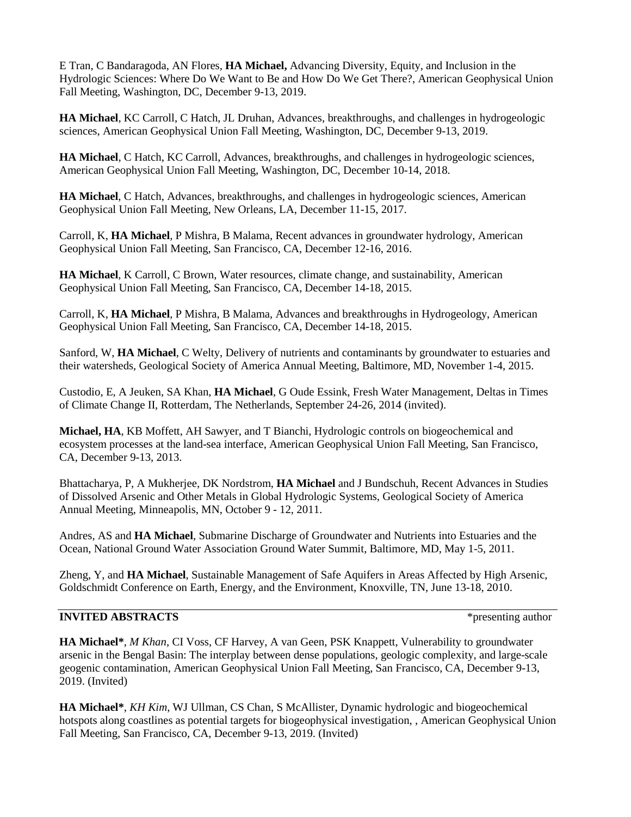E Tran, C Bandaragoda, AN Flores, **HA Michael,** Advancing Diversity, Equity, and Inclusion in the Hydrologic Sciences: Where Do We Want to Be and How Do We Get There?, American Geophysical Union Fall Meeting, Washington, DC, December 9-13, 2019.

**HA Michael**, KC Carroll, C Hatch, JL Druhan, Advances, breakthroughs, and challenges in hydrogeologic sciences, American Geophysical Union Fall Meeting, Washington, DC, December 9-13, 2019.

**HA Michael**, C Hatch, KC Carroll, Advances, breakthroughs, and challenges in hydrogeologic sciences, American Geophysical Union Fall Meeting, Washington, DC, December 10-14, 2018.

**HA Michael**, C Hatch, Advances, breakthroughs, and challenges in hydrogeologic sciences, American Geophysical Union Fall Meeting, New Orleans, LA, December 11-15, 2017.

Carroll, K, **HA Michael**, P Mishra, B Malama, Recent advances in groundwater hydrology, American Geophysical Union Fall Meeting, San Francisco, CA, December 12-16, 2016.

**HA Michael**, K Carroll, C Brown, Water resources, climate change, and sustainability, American Geophysical Union Fall Meeting, San Francisco, CA, December 14-18, 2015.

Carroll, K, **HA Michael**, P Mishra, B Malama, Advances and breakthroughs in Hydrogeology, American Geophysical Union Fall Meeting, San Francisco, CA, December 14-18, 2015.

Sanford, W, **HA Michael**, C Welty, Delivery of nutrients and contaminants by groundwater to estuaries and their watersheds, Geological Society of America Annual Meeting, Baltimore, MD, November 1-4, 2015.

Custodio, E, A Jeuken, SA Khan, **HA Michael**, G Oude Essink, Fresh Water Management, Deltas in Times of Climate Change II, Rotterdam, The Netherlands, September 24-26, 2014 (invited).

**Michael, HA**, KB Moffett, AH Sawyer, and T Bianchi, Hydrologic controls on biogeochemical and ecosystem processes at the land-sea interface, American Geophysical Union Fall Meeting, San Francisco, CA, December 9-13, 2013.

Bhattacharya, P, A Mukherjee, DK Nordstrom, **HA Michael** and J Bundschuh, Recent Advances in Studies of Dissolved Arsenic and Other Metals in Global Hydrologic Systems, Geological Society of America Annual Meeting, Minneapolis, MN, October 9 - 12, 2011.

Andres, AS and **HA Michael**, Submarine Discharge of Groundwater and Nutrients into Estuaries and the Ocean, National Ground Water Association Ground Water Summit, Baltimore, MD, May 1-5, 2011.

Zheng, Y, and **HA Michael**, Sustainable Management of Safe Aquifers in Areas Affected by High Arsenic, Goldschmidt Conference on Earth, Energy, and the Environment, Knoxville, TN, June 13-18, 2010.

## **INVITED ABSTRACTS**  $*$  presenting author

**HA Michael\***, *M Khan*, CI Voss, CF Harvey, A van Geen, PSK Knappett, Vulnerability to groundwater arsenic in the Bengal Basin: The interplay between dense populations, geologic complexity, and large-scale geogenic contamination, American Geophysical Union Fall Meeting, San Francisco, CA, December 9-13, 2019. (Invited)

**HA Michael\***, *KH Kim*, WJ Ullman, CS Chan, S McAllister, Dynamic hydrologic and biogeochemical hotspots along coastlines as potential targets for biogeophysical investigation, , American Geophysical Union Fall Meeting, San Francisco, CA, December 9-13, 2019. (Invited)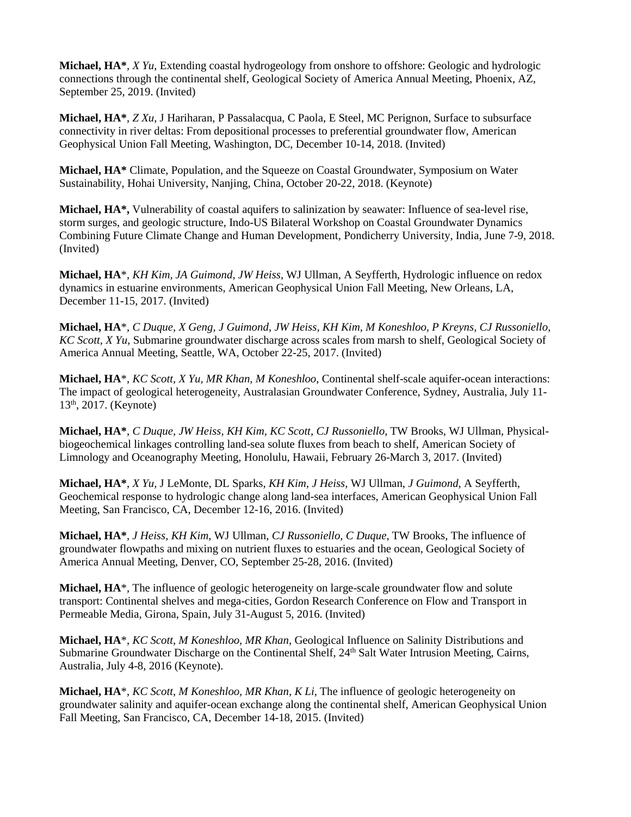**Michael, HA\***, *X Yu*, Extending coastal hydrogeology from onshore to offshore: Geologic and hydrologic connections through the continental shelf, Geological Society of America Annual Meeting, Phoenix, AZ, September 25, 2019. (Invited)

**Michael, HA\***, *Z Xu*, J Hariharan, P Passalacqua, C Paola, E Steel, MC Perignon, Surface to subsurface connectivity in river deltas: From depositional processes to preferential groundwater flow, American Geophysical Union Fall Meeting, Washington, DC, December 10-14, 2018. (Invited)

**Michael, HA\*** Climate, Population, and the Squeeze on Coastal Groundwater, Symposium on Water Sustainability, Hohai University, Nanjing, China, October 20-22, 2018. (Keynote)

**Michael, HA\*,** Vulnerability of coastal aquifers to salinization by seawater: Influence of sea-level rise, storm surges, and geologic structure, Indo-US Bilateral Workshop on Coastal Groundwater Dynamics Combining Future Climate Change and Human Development, Pondicherry University, India, June 7-9, 2018. (Invited)

**Michael, HA**\*, *KH Kim, JA Guimond, JW Heiss*, WJ Ullman, A Seyfferth, Hydrologic influence on redox dynamics in estuarine environments, American Geophysical Union Fall Meeting, New Orleans, LA, December 11-15, 2017. (Invited)

**Michael, HA**\*, *C Duque, X Geng, J Guimond, JW Heiss, KH Kim, M Koneshloo, P Kreyns, CJ Russoniello, KC Scott, X Yu*, Submarine groundwater discharge across scales from marsh to shelf, Geological Society of America Annual Meeting, Seattle, WA, October 22-25, 2017. (Invited)

**Michael, HA**\*, *KC Scott, X Yu, MR Khan, M Koneshloo*, Continental shelf-scale aquifer-ocean interactions: The impact of geological heterogeneity, Australasian Groundwater Conference, Sydney, Australia, July 11- 13th, 2017. (Keynote)

**Michael, HA\***, *C Duque, JW Heiss, KH Kim, KC Scott, CJ Russoniello*, TW Brooks, WJ Ullman, Physicalbiogeochemical linkages controlling land-sea solute fluxes from beach to shelf, American Society of Limnology and Oceanography Meeting, Honolulu, Hawaii, February 26-March 3, 2017. (Invited)

**Michael, HA\***, *X Yu,* J LeMonte, DL Sparks, *KH Kim, J Heiss,* WJ Ullman, *J Guimond*, A Seyfferth, Geochemical response to hydrologic change along land-sea interfaces, American Geophysical Union Fall Meeting, San Francisco, CA, December 12-16, 2016. (Invited)

**Michael, HA\***, *J Heiss, KH Kim*, WJ Ullman, *CJ Russoniello, C Duque*, TW Brooks, The influence of groundwater flowpaths and mixing on nutrient fluxes to estuaries and the ocean, Geological Society of America Annual Meeting, Denver, CO, September 25-28, 2016. (Invited)

**Michael, HA**\*, The influence of geologic heterogeneity on large-scale groundwater flow and solute transport: Continental shelves and mega-cities, Gordon Research Conference on Flow and Transport in Permeable Media, Girona, Spain, July 31-August 5, 2016. (Invited)

**Michael, HA**\*, *KC Scott*, *M Koneshloo, MR Khan,* Geological Influence on Salinity Distributions and Submarine Groundwater Discharge on the Continental Shelf, 24<sup>th</sup> Salt Water Intrusion Meeting, Cairns, Australia, July 4-8, 2016 (Keynote).

**Michael, HA**\*, *KC Scott*, *M Koneshloo, MR Khan, K Li*, The influence of geologic heterogeneity on groundwater salinity and aquifer-ocean exchange along the continental shelf, American Geophysical Union Fall Meeting, San Francisco, CA, December 14-18, 2015. (Invited)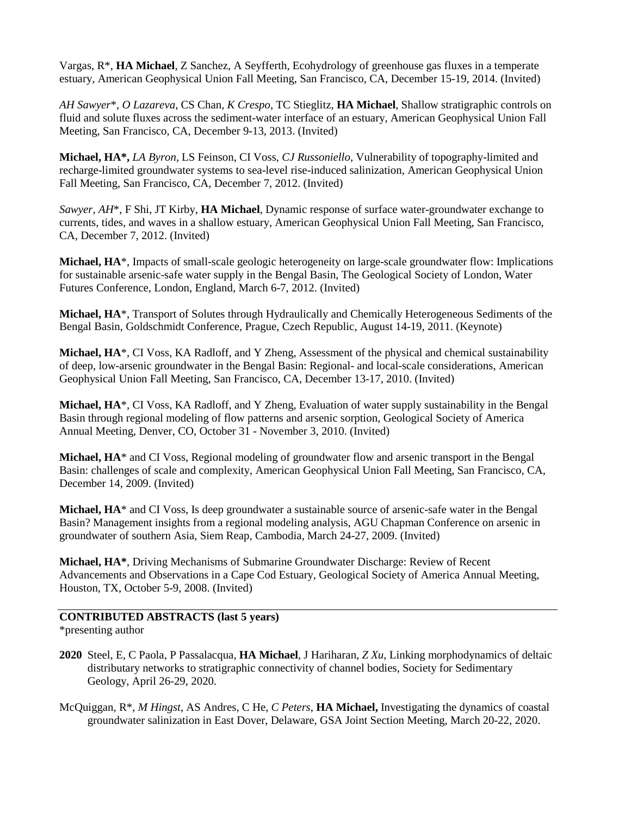Vargas, R\*, **HA Michael**, Z Sanchez, A Seyfferth, Ecohydrology of greenhouse gas fluxes in a temperate estuary, American Geophysical Union Fall Meeting, San Francisco, CA, December 15-19, 2014. (Invited)

*AH Sawyer*\*, *O Lazareva*, CS Chan, *K Crespo*, TC Stieglitz, **HA Michael**, Shallow stratigraphic controls on fluid and solute fluxes across the sediment-water interface of an estuary, American Geophysical Union Fall Meeting, San Francisco, CA, December 9-13, 2013. (Invited)

**Michael, HA\*,** *LA Byron*, LS Feinson, CI Voss, *CJ Russoniello*, Vulnerability of topography-limited and recharge-limited groundwater systems to sea-level rise-induced salinization, American Geophysical Union Fall Meeting, San Francisco, CA, December 7, 2012. (Invited)

*Sawyer, AH*\*, F Shi, JT Kirby, **HA Michael**, Dynamic response of surface water-groundwater exchange to currents, tides, and waves in a shallow estuary, American Geophysical Union Fall Meeting, San Francisco, CA, December 7, 2012. (Invited)

**Michael, HA**\*, Impacts of small-scale geologic heterogeneity on large-scale groundwater flow: Implications for sustainable arsenic-safe water supply in the Bengal Basin, The Geological Society of London, Water Futures Conference, London, England, March 6-7, 2012. (Invited)

**Michael, HA**\*, Transport of Solutes through Hydraulically and Chemically Heterogeneous Sediments of the Bengal Basin, Goldschmidt Conference, Prague, Czech Republic, August 14-19, 2011. (Keynote)

**Michael, HA**\*, CI Voss, KA Radloff, and Y Zheng, Assessment of the physical and chemical sustainability of deep, low-arsenic groundwater in the Bengal Basin: Regional- and local-scale considerations, American Geophysical Union Fall Meeting, San Francisco, CA, December 13-17, 2010. (Invited)

**Michael, HA**\*, CI Voss, KA Radloff, and Y Zheng, Evaluation of water supply sustainability in the Bengal Basin through regional modeling of flow patterns and arsenic sorption, Geological Society of America Annual Meeting, Denver, CO, October 31 - November 3, 2010. (Invited)

**Michael, HA**\* and CI Voss, Regional modeling of groundwater flow and arsenic transport in the Bengal Basin: challenges of scale and complexity, American Geophysical Union Fall Meeting, San Francisco, CA, December 14, 2009. (Invited)

**Michael, HA**\* and CI Voss, Is deep groundwater a sustainable source of arsenic-safe water in the Bengal Basin? Management insights from a regional modeling analysis, AGU Chapman Conference on arsenic in groundwater of southern Asia, Siem Reap, Cambodia, March 24-27, 2009. (Invited)

**Michael, HA\***, Driving Mechanisms of Submarine Groundwater Discharge: Review of Recent Advancements and Observations in a Cape Cod Estuary, Geological Society of America Annual Meeting, Houston, TX, October 5-9, 2008. (Invited)

## **CONTRIBUTED ABSTRACTS (last 5 years)**

\*presenting author

- **2020** Steel, E, C Paola, P Passalacqua, **HA Michael**, J Hariharan, *Z Xu*, Linking morphodynamics of deltaic distributary networks to stratigraphic connectivity of channel bodies, Society for Sedimentary Geology, April 26-29, 2020.
- McQuiggan, R\*, *M Hingst*, AS Andres, C He, *C Peters*, **HA Michael,** Investigating the dynamics of coastal groundwater salinization in East Dover, Delaware, GSA Joint Section Meeting, March 20-22, 2020.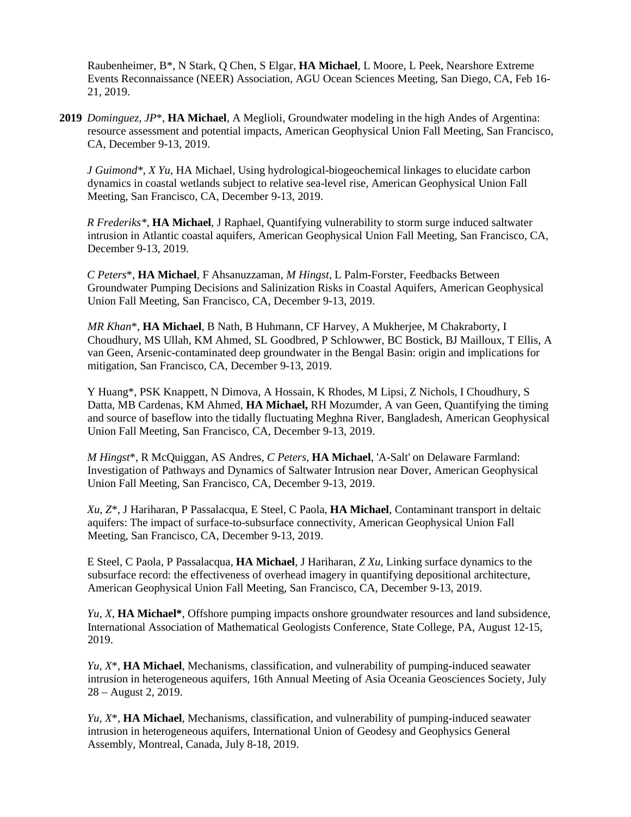Raubenheimer, B\*, N Stark, Q Chen, S Elgar, **HA Michael**, L Moore, L Peek, Nearshore Extreme Events Reconnaissance (NEER) Association, AGU Ocean Sciences Meeting, San Diego, CA, Feb 16- 21, 2019.

**2019** *Dominguez, JP*\*, **HA Michael**, A Meglioli, Groundwater modeling in the high Andes of Argentina: resource assessment and potential impacts, American Geophysical Union Fall Meeting, San Francisco, CA, December 9-13, 2019.

*J Guimond\**, *X Yu*, HA Michael, Using hydrological-biogeochemical linkages to elucidate carbon dynamics in coastal wetlands subject to relative sea-level rise, American Geophysical Union Fall Meeting, San Francisco, CA, December 9-13, 2019.

*R Frederiks\**, **HA Michael**, J Raphael, Quantifying vulnerability to storm surge induced saltwater intrusion in Atlantic coastal aquifers, American Geophysical Union Fall Meeting, San Francisco, CA, December 9-13, 2019.

*C Peters*\*, **HA Michael**, F Ahsanuzzaman, *M Hingst*, L Palm-Forster, Feedbacks Between Groundwater Pumping Decisions and Salinization Risks in Coastal Aquifers, American Geophysical Union Fall Meeting, San Francisco, CA, December 9-13, 2019.

*MR Khan*\*, **HA Michael**, B Nath, B Huhmann, CF Harvey, A Mukherjee, M Chakraborty, I Choudhury, MS Ullah, KM Ahmed, SL Goodbred, P Schlowwer, BC Bostick, BJ Mailloux, T Ellis, A van Geen, Arsenic-contaminated deep groundwater in the Bengal Basin: origin and implications for mitigation, San Francisco, CA, December 9-13, 2019.

Y Huang\*, PSK Knappett, N Dimova, A Hossain, K Rhodes, M Lipsi, Z Nichols, I Choudhury, S Datta, MB Cardenas, KM Ahmed, **HA Michael,** RH Mozumder, A van Geen, Quantifying the timing and source of baseflow into the tidally fluctuating Meghna River, Bangladesh, American Geophysical Union Fall Meeting, San Francisco, CA, December 9-13, 2019.

*M Hingst*\*, R McQuiggan, AS Andres, *C Peters*, **HA Michael**, 'A-Salt' on Delaware Farmland: Investigation of Pathways and Dynamics of Saltwater Intrusion near Dover, American Geophysical Union Fall Meeting, San Francisco, CA, December 9-13, 2019.

*Xu, Z*\*, J Hariharan, P Passalacqua, E Steel, C Paola, **HA Michael**, Contaminant transport in deltaic aquifers: The impact of surface-to-subsurface connectivity, American Geophysical Union Fall Meeting, San Francisco, CA, December 9-13, 2019.

E Steel, C Paola, P Passalacqua, **HA Michael**, J Hariharan, *Z Xu*, Linking surface dynamics to the subsurface record: the effectiveness of overhead imagery in quantifying depositional architecture, American Geophysical Union Fall Meeting, San Francisco, CA, December 9-13, 2019.

*Yu, X*, **HA Michael\***, Offshore pumping impacts onshore groundwater resources and land subsidence, International Association of Mathematical Geologists Conference, State College, PA, August 12-15, 2019.

*Yu, X*\*, **HA Michael**, Mechanisms, classification, and vulnerability of pumping-induced seawater intrusion in heterogeneous aquifers, 16th Annual Meeting of Asia Oceania Geosciences Society, July 28 – August 2, 2019.

*Yu, X*\*, **HA Michael**, Mechanisms, classification, and vulnerability of pumping-induced seawater intrusion in heterogeneous aquifers, International Union of Geodesy and Geophysics General Assembly, Montreal, Canada, July 8-18, 2019.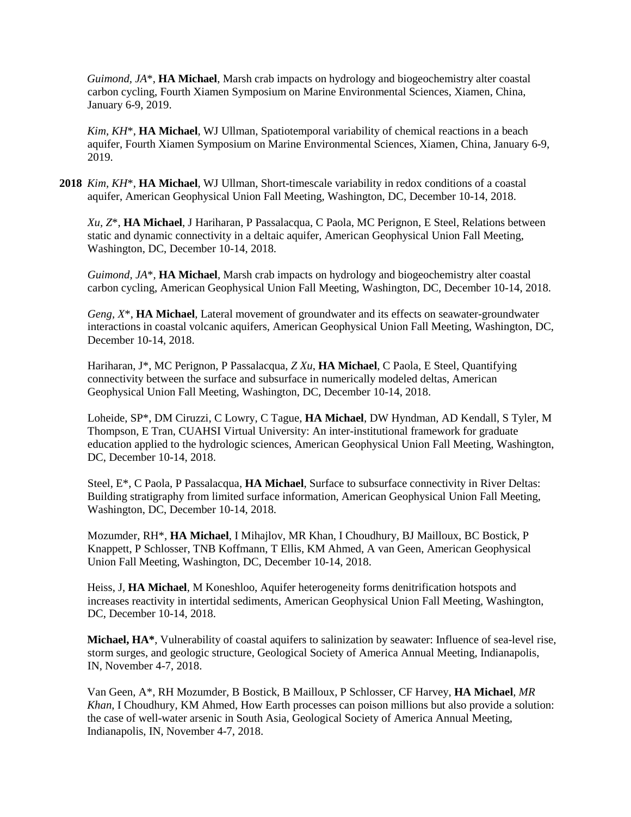*Guimond, JA*\*, **HA Michael**, Marsh crab impacts on hydrology and biogeochemistry alter coastal carbon cycling, Fourth Xiamen Symposium on Marine Environmental Sciences, Xiamen, China, January 6-9, 2019.

*Kim, KH*\*, **HA Michael**, WJ Ullman, Spatiotemporal variability of chemical reactions in a beach aquifer, Fourth Xiamen Symposium on Marine Environmental Sciences, Xiamen, China, January 6-9, 2019.

**2018** *Kim, KH*\*, **HA Michael**, WJ Ullman, Short-timescale variability in redox conditions of a coastal aquifer, American Geophysical Union Fall Meeting, Washington, DC, December 10-14, 2018.

*Xu, Z*\*, **HA Michael**, J Hariharan, P Passalacqua, C Paola, MC Perignon, E Steel, Relations between static and dynamic connectivity in a deltaic aquifer, American Geophysical Union Fall Meeting, Washington, DC, December 10-14, 2018.

*Guimond, JA*\*, **HA Michael**, Marsh crab impacts on hydrology and biogeochemistry alter coastal carbon cycling, American Geophysical Union Fall Meeting, Washington, DC, December 10-14, 2018.

*Geng, X*\*, **HA Michael**, Lateral movement of groundwater and its effects on seawater-groundwater interactions in coastal volcanic aquifers, American Geophysical Union Fall Meeting, Washington, DC, December 10-14, 2018.

Hariharan, J\*, MC Perignon, P Passalacqua, *Z Xu*, **HA Michael**, C Paola, E Steel, Quantifying connectivity between the surface and subsurface in numerically modeled deltas, American Geophysical Union Fall Meeting, Washington, DC, December 10-14, 2018.

Loheide, SP\*, DM Ciruzzi, C Lowry, C Tague, **HA Michael**, DW Hyndman, AD Kendall, S Tyler, M Thompson, E Tran, CUAHSI Virtual University: An inter-institutional framework for graduate education applied to the hydrologic sciences, American Geophysical Union Fall Meeting, Washington, DC, December 10-14, 2018.

Steel, E\*, C Paola, P Passalacqua, **HA Michael**, Surface to subsurface connectivity in River Deltas: Building stratigraphy from limited surface information, American Geophysical Union Fall Meeting, Washington, DC, December 10-14, 2018.

Mozumder, RH\*, **HA Michael**, I Mihajlov, MR Khan, I Choudhury, BJ Mailloux, BC Bostick, P Knappett, P Schlosser, TNB Koffmann, T Ellis, KM Ahmed, A van Geen, American Geophysical Union Fall Meeting, Washington, DC, December 10-14, 2018.

Heiss, J, **HA Michael**, M Koneshloo, Aquifer heterogeneity forms denitrification hotspots and increases reactivity in intertidal sediments, American Geophysical Union Fall Meeting, Washington, DC, December 10-14, 2018.

**Michael, HA\***, Vulnerability of coastal aquifers to salinization by seawater: Influence of sea-level rise, storm surges, and geologic structure, Geological Society of America Annual Meeting, Indianapolis, IN, November 4-7, 2018.

Van Geen, A\*, RH Mozumder, B Bostick, B Mailloux, P Schlosser, CF Harvey, **HA Michael**, *MR Khan*, I Choudhury, KM Ahmed, How Earth processes can poison millions but also provide a solution: the case of well-water arsenic in South Asia, Geological Society of America Annual Meeting, Indianapolis, IN, November 4-7, 2018.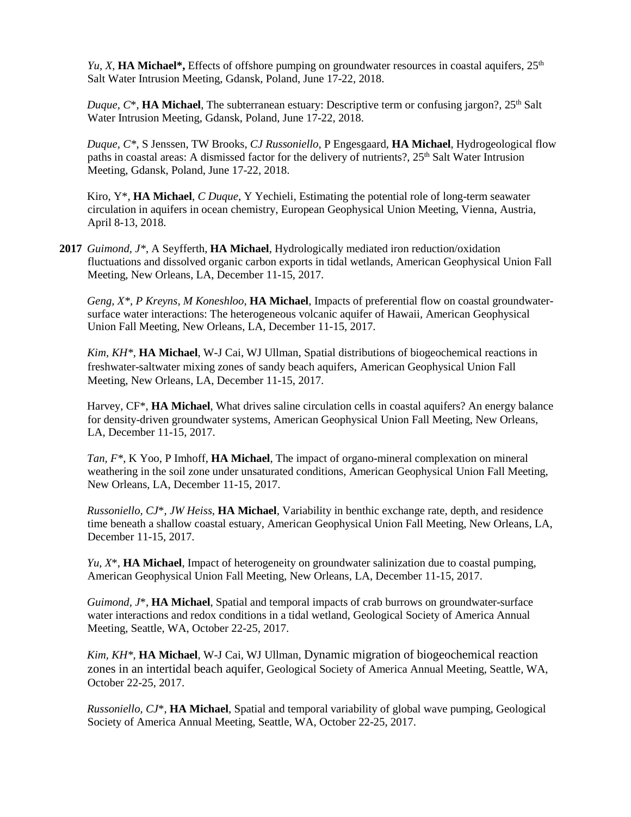*Yu, X*, **HA Michael\***, Effects of offshore pumping on groundwater resources in coastal aquifers,  $25<sup>th</sup>$ Salt Water Intrusion Meeting, Gdansk, Poland, June 17-22, 2018.

*Duque, C*\*, HA Michael, The subterranean estuary: Descriptive term or confusing jargon?, 25<sup>th</sup> Salt Water Intrusion Meeting, Gdansk, Poland, June 17-22, 2018.

*Duque, C\**, S Jenssen, TW Brooks, *CJ Russoniello*, P Engesgaard, **HA Michael**, Hydrogeological flow paths in coastal areas: A dismissed factor for the delivery of nutrients?, 25<sup>th</sup> Salt Water Intrusion Meeting, Gdansk, Poland, June 17-22, 2018.

Kiro, Y\*, **HA Michael**, *C Duque*, Y Yechieli, Estimating the potential role of long-term seawater circulation in aquifers in ocean chemistry, European Geophysical Union Meeting, Vienna, Austria, April 8-13, 2018.

**2017** *Guimond, J\**, A Seyfferth, **HA Michael**, Hydrologically mediated iron reduction/oxidation fluctuations and dissolved organic carbon exports in tidal wetlands, American Geophysical Union Fall Meeting, New Orleans, LA, December 11-15, 2017.

*Geng, X\*, P Kreyns, M Koneshloo*, **HA Michael**, Impacts of preferential flow on coastal groundwatersurface water interactions: The heterogeneous volcanic aquifer of Hawaii, American Geophysical Union Fall Meeting, New Orleans, LA, December 11-15, 2017.

*Kim, KH\**, **HA Michael**, W-J Cai, WJ Ullman, Spatial distributions of biogeochemical reactions in freshwater-saltwater mixing zones of sandy beach aquifers, American Geophysical Union Fall Meeting, New Orleans, LA, December 11-15, 2017.

Harvey, CF\*, **HA Michael**, What drives saline circulation cells in coastal aquifers? An energy balance for density-driven groundwater systems, American Geophysical Union Fall Meeting, New Orleans, LA, December 11-15, 2017.

*Tan, F\**, K Yoo, P Imhoff, **HA Michael**, The impact of organo-mineral complexation on mineral weathering in the soil zone under unsaturated conditions, American Geophysical Union Fall Meeting, New Orleans, LA, December 11-15, 2017.

*Russoniello, CJ*\*, *JW Heiss*, **HA Michael**, Variability in benthic exchange rate, depth, and residence time beneath a shallow coastal estuary, American Geophysical Union Fall Meeting, New Orleans, LA, December 11-15, 2017.

*Yu, X*\*, **HA Michael**, Impact of heterogeneity on groundwater salinization due to coastal pumping, American Geophysical Union Fall Meeting, New Orleans, LA, December 11-15, 2017.

*Guimond, J*\*, **HA Michael**, Spatial and temporal impacts of crab burrows on groundwater-surface water interactions and redox conditions in a tidal wetland, Geological Society of America Annual Meeting, Seattle, WA, October 22-25, 2017.

*Kim, KH\**, **HA Michael**, W-J Cai, WJ Ullman, Dynamic migration of biogeochemical reaction zones in an intertidal beach aquifer, Geological Society of America Annual Meeting, Seattle, WA, October 22-25, 2017.

*Russoniello, CJ*\*, **HA Michael**, Spatial and temporal variability of global wave pumping, Geological Society of America Annual Meeting, Seattle, WA, October 22-25, 2017.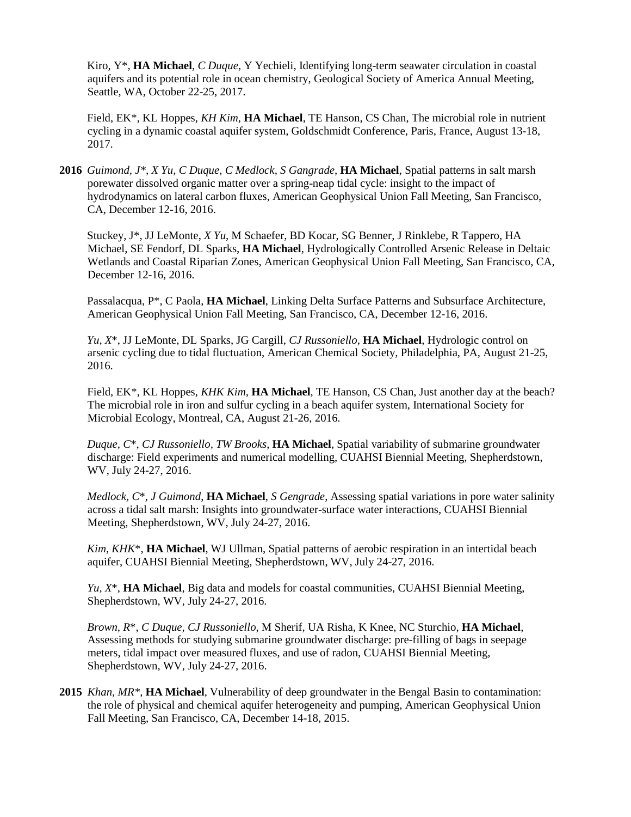Kiro, Y\*, **HA Michael**, *C Duque*, Y Yechieli, Identifying long-term seawater circulation in coastal aquifers and its potential role in ocean chemistry, Geological Society of America Annual Meeting, Seattle, WA, October 22-25, 2017.

Field, EK\*, KL Hoppes, *KH Kim*, **HA Michael**, TE Hanson, CS Chan, The microbial role in nutrient cycling in a dynamic coastal aquifer system, Goldschmidt Conference, Paris, France, August 13-18, 2017.

**2016** *Guimond, J\*, X Yu, C Duque, C Medlock, S Gangrade*, **HA Michael**, Spatial patterns in salt marsh porewater dissolved organic matter over a spring-neap tidal cycle: insight to the impact of hydrodynamics on lateral carbon fluxes, American Geophysical Union Fall Meeting, San Francisco, CA, December 12-16, 2016.

Stuckey, J\*, JJ LeMonte, *X Yu*, M Schaefer, BD Kocar, SG Benner, J Rinklebe, R Tappero, HA Michael, SE Fendorf, DL Sparks, **HA Michael**, Hydrologically Controlled Arsenic Release in Deltaic Wetlands and Coastal Riparian Zones, American Geophysical Union Fall Meeting, San Francisco, CA, December 12-16, 2016.

Passalacqua, P\*, C Paola, **HA Michael**, Linking Delta Surface Patterns and Subsurface Architecture, American Geophysical Union Fall Meeting, San Francisco, CA, December 12-16, 2016.

*Yu, X*\*, JJ LeMonte, DL Sparks, JG Cargill, *CJ Russoniello*, **HA Michael**, Hydrologic control on arsenic cycling due to tidal fluctuation, American Chemical Society, Philadelphia, PA, August 21-25, 2016.

Field, EK\*, KL Hoppes, *KHK Kim*, **HA Michael**, TE Hanson, CS Chan, Just another day at the beach? The microbial role in iron and sulfur cycling in a beach aquifer system, International Society for Microbial Ecology, Montreal, CA, August 21-26, 2016.

*Duque, C*\*, *CJ Russoniello, TW Brooks*, **HA Michael**, Spatial variability of submarine groundwater discharge: Field experiments and numerical modelling, CUAHSI Biennial Meeting, Shepherdstown, WV, July 24-27, 2016.

*Medlock, C*\*, *J Guimond*, **HA Michael**, *S Gengrade*, Assessing spatial variations in pore water salinity across a tidal salt marsh: Insights into groundwater-surface water interactions, CUAHSI Biennial Meeting, Shepherdstown, WV, July 24-27, 2016.

*Kim, KHK*\*, **HA Michael**, WJ Ullman, Spatial patterns of aerobic respiration in an intertidal beach aquifer, CUAHSI Biennial Meeting, Shepherdstown, WV, July 24-27, 2016.

*Yu, X*\*, **HA Michael**, Big data and models for coastal communities, CUAHSI Biennial Meeting, Shepherdstown, WV, July 24-27, 2016.

*Brown, R*\*, *C Duque, CJ Russoniello*, M Sherif, UA Risha, K Knee, NC Sturchio, **HA Michael**, Assessing methods for studying submarine groundwater discharge: pre-filling of bags in seepage meters, tidal impact over measured fluxes, and use of radon, CUAHSI Biennial Meeting, Shepherdstown, WV, July 24-27, 2016.

**2015** *Khan, MR\**, **HA Michael**, Vulnerability of deep groundwater in the Bengal Basin to contamination: the role of physical and chemical aquifer heterogeneity and pumping, American Geophysical Union Fall Meeting, San Francisco, CA, December 14-18, 2015.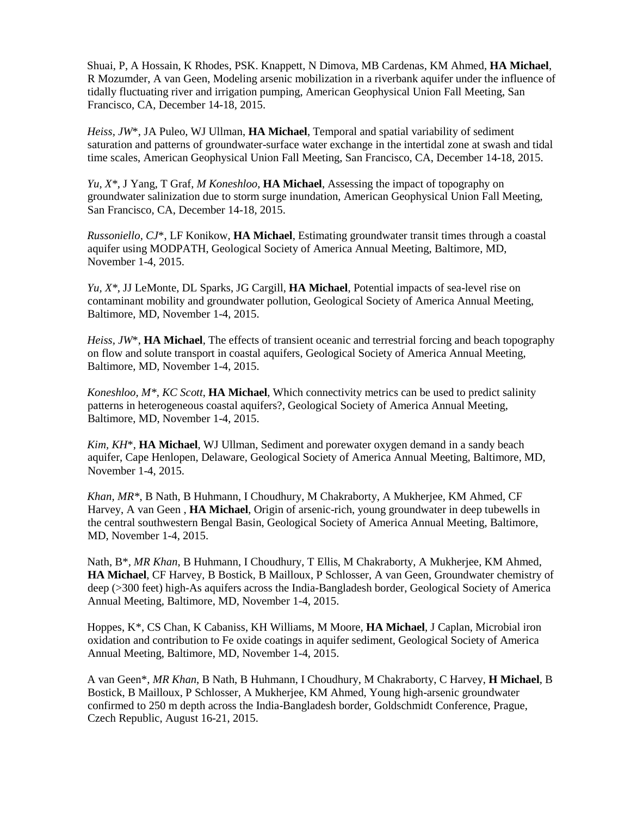Shuai, P, A Hossain, K Rhodes, PSK. Knappett, N Dimova, MB Cardenas, KM Ahmed, **HA Michael**, R Mozumder, A van Geen, Modeling arsenic mobilization in a riverbank aquifer under the influence of tidally fluctuating river and irrigation pumping, American Geophysical Union Fall Meeting, San Francisco, CA, December 14-18, 2015.

*Heiss, JW*\*, JA Puleo, WJ Ullman, **HA Michael**, Temporal and spatial variability of sediment saturation and patterns of groundwater-surface water exchange in the intertidal zone at swash and tidal time scales, American Geophysical Union Fall Meeting, San Francisco, CA, December 14-18, 2015.

*Yu, X\**, J Yang, T Graf, *M Koneshloo*, **HA Michael**, Assessing the impact of topography on groundwater salinization due to storm surge inundation, American Geophysical Union Fall Meeting, San Francisco, CA, December 14-18, 2015.

*Russoniello, CJ*\*, LF Konikow, **HA Michael**, Estimating groundwater transit times through a coastal aquifer using MODPATH, Geological Society of America Annual Meeting, Baltimore, MD, November 1-4, 2015.

*Yu, X\**, JJ LeMonte, DL Sparks, JG Cargill, **HA Michael**, Potential impacts of sea-level rise on contaminant mobility and groundwater pollution, Geological Society of America Annual Meeting, Baltimore, MD, November 1-4, 2015.

*Heiss, JW*\*, **HA Michael**, The effects of transient oceanic and terrestrial forcing and beach topography on flow and solute transport in coastal aquifers, Geological Society of America Annual Meeting, Baltimore, MD, November 1-4, 2015.

*Koneshloo, M\*, KC Scott*, **HA Michael**, Which connectivity metrics can be used to predict salinity patterns in heterogeneous coastal aquifers?, Geological Society of America Annual Meeting, Baltimore, MD, November 1-4, 2015.

*Kim, KH*\*, **HA Michael**, WJ Ullman, Sediment and porewater oxygen demand in a sandy beach aquifer, Cape Henlopen, Delaware, Geological Society of America Annual Meeting, Baltimore, MD, November 1-4, 2015.

*Khan, MR\**, B Nath, B Huhmann, I Choudhury, M Chakraborty, A Mukherjee, KM Ahmed, CF Harvey, A van Geen , **HA Michael**, Origin of arsenic-rich, young groundwater in deep tubewells in the central southwestern Bengal Basin, Geological Society of America Annual Meeting, Baltimore, MD, November 1-4, 2015.

Nath, B\**, MR Khan*, B Huhmann, I Choudhury, T Ellis, M Chakraborty, A Mukherjee, KM Ahmed, **HA Michael**, CF Harvey, B Bostick, B Mailloux, P Schlosser, A van Geen, Groundwater chemistry of deep (>300 feet) high-As aquifers across the India-Bangladesh border, Geological Society of America Annual Meeting, Baltimore, MD, November 1-4, 2015.

Hoppes, K\*, CS Chan, K Cabaniss, KH Williams, M Moore, **HA Michael**, J Caplan, Microbial iron oxidation and contribution to Fe oxide coatings in aquifer sediment, Geological Society of America Annual Meeting, Baltimore, MD, November 1-4, 2015.

A van Geen\*, *MR Khan*, B Nath, B Huhmann, I Choudhury, M Chakraborty, C Harvey, **H Michael**, B Bostick, B Mailloux, P Schlosser, A Mukherjee, KM Ahmed, Young high-arsenic groundwater confirmed to 250 m depth across the India-Bangladesh border, Goldschmidt Conference, Prague, Czech Republic, August 16-21, 2015.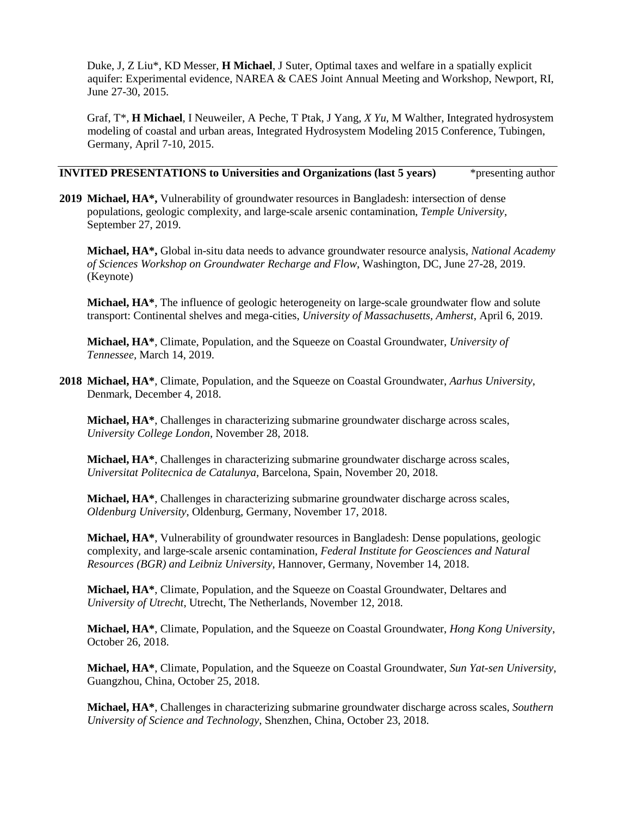Duke, J, Z Liu\*, KD Messer, **H Michael**, J Suter, Optimal taxes and welfare in a spatially explicit aquifer: Experimental evidence, NAREA & CAES Joint Annual Meeting and Workshop, Newport, RI, June 27-30, 2015.

Graf, T\*, **H Michael**, I Neuweiler, A Peche, T Ptak, J Yang, *X Yu*, M Walther, Integrated hydrosystem modeling of coastal and urban areas, Integrated Hydrosystem Modeling 2015 Conference, Tubingen, Germany, April 7-10, 2015.

## **INVITED PRESENTATIONS to Universities and Organizations (last 5 years)** \* *presenting author*

**2019 Michael, HA\*,** Vulnerability of groundwater resources in Bangladesh: intersection of dense populations, geologic complexity, and large-scale arsenic contamination, *Temple University*, September 27, 2019.

**Michael, HA\*,** Global in-situ data needs to advance groundwater resource analysis, *National Academy of Sciences Workshop on Groundwater Recharge and Flow*, Washington, DC, June 27-28, 2019. (Keynote)

**Michael, HA\***, The influence of geologic heterogeneity on large-scale groundwater flow and solute transport: Continental shelves and mega-cities, *University of Massachusetts, Amherst*, April 6, 2019.

**Michael, HA\***, Climate, Population, and the Squeeze on Coastal Groundwater, *University of Tennessee,* March 14, 2019.

**2018 Michael, HA\***, Climate, Population, and the Squeeze on Coastal Groundwater, *Aarhus University*, Denmark, December 4, 2018.

**Michael, HA\***, Challenges in characterizing submarine groundwater discharge across scales, *University College London*, November 28, 2018.

**Michael, HA\***, Challenges in characterizing submarine groundwater discharge across scales, *Universitat Politecnica de Catalunya*, Barcelona, Spain, November 20, 2018.

**Michael, HA\***, Challenges in characterizing submarine groundwater discharge across scales, *Oldenburg University*, Oldenburg, Germany, November 17, 2018.

**Michael, HA\***, Vulnerability of groundwater resources in Bangladesh: Dense populations, geologic complexity, and large-scale arsenic contamination, *Federal Institute for Geosciences and Natural Resources (BGR) and Leibniz University*, Hannover, Germany, November 14, 2018.

**Michael, HA\***, Climate, Population, and the Squeeze on Coastal Groundwater, Deltares and *University of Utrecht*, Utrecht, The Netherlands, November 12, 2018.

**Michael, HA\***, Climate, Population, and the Squeeze on Coastal Groundwater, *Hong Kong University*, October 26, 2018.

**Michael, HA\***, Climate, Population, and the Squeeze on Coastal Groundwater, *Sun Yat-sen University*, Guangzhou, China, October 25, 2018.

**Michael, HA\***, Challenges in characterizing submarine groundwater discharge across scales, *Southern University of Science and Technology*, Shenzhen, China, October 23, 2018.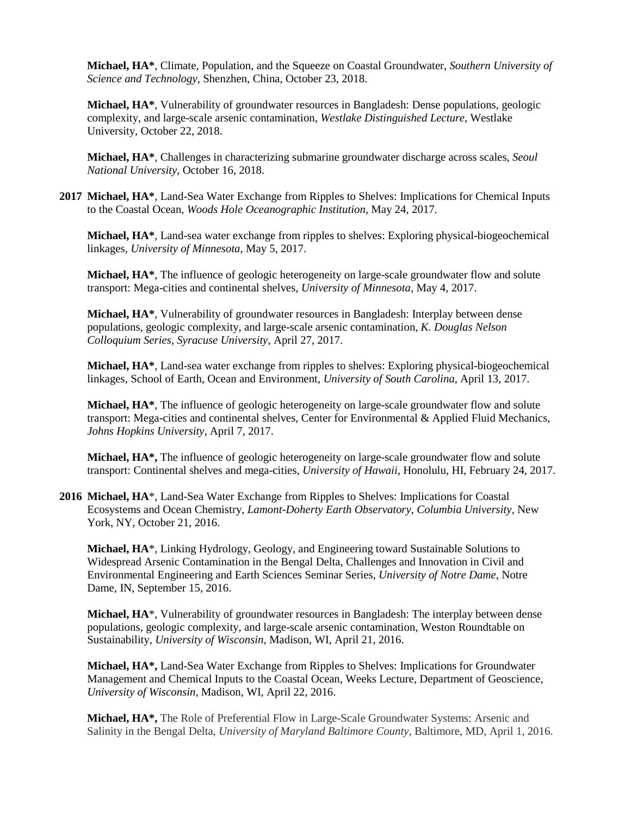**Michael, HA\***, Climate, Population, and the Squeeze on Coastal Groundwater, *Southern University of Science and Technology*, Shenzhen, China, October 23, 2018.

**Michael, HA\***, Vulnerability of groundwater resources in Bangladesh: Dense populations, geologic complexity, and large-scale arsenic contamination, *Westlake Distinguished Lecture*, Westlake University, October 22, 2018.

**Michael, HA\***, Challenges in characterizing submarine groundwater discharge across scales, *Seoul National University*, October 16, 2018.

**2017 Michael, HA\***, Land-Sea Water Exchange from Ripples to Shelves: Implications for Chemical Inputs to the Coastal Ocean, *Woods Hole Oceanographic Institution*, May 24, 2017.

**Michael, HA\***, Land-sea water exchange from ripples to shelves: Exploring physical-biogeochemical linkages, *University of Minnesota*, May 5, 2017.

**Michael, HA\***, The influence of geologic heterogeneity on large-scale groundwater flow and solute transport: Mega-cities and continental shelves, *University of Minnesota,* May 4, 2017.

**Michael, HA\***, Vulnerability of groundwater resources in Bangladesh: Interplay between dense populations, geologic complexity, and large-scale arsenic contamination, *K. Douglas Nelson Colloquium Series, Syracuse University*, April 27, 2017.

**Michael, HA\***, Land-sea water exchange from ripples to shelves: Exploring physical-biogeochemical linkages, School of Earth, Ocean and Environment, *University of South Carolina*, April 13, 2017.

**Michael, HA\***, The influence of geologic heterogeneity on large-scale groundwater flow and solute transport: Mega-cities and continental shelves, Center for Environmental & Applied Fluid Mechanics, *Johns Hopkins University*, April 7, 2017.

**Michael, HA\*,** The influence of geologic heterogeneity on large-scale groundwater flow and solute transport: Continental shelves and mega-cities, *University of Hawaii*, Honolulu, HI, February 24, 2017.

**2016 Michael, HA**\*, Land-Sea Water Exchange from Ripples to Shelves: Implications for Coastal Ecosystems and Ocean Chemistry, *Lamont-Doherty Earth Observatory, Columbia University,* New York, NY, October 21, 2016.

**Michael, HA**\*, Linking Hydrology, Geology, and Engineering toward Sustainable Solutions to Widespread Arsenic Contamination in the Bengal Delta, Challenges and Innovation in Civil and Environmental Engineering and Earth Sciences Seminar Series, *University of Notre Dame*, Notre Dame, IN, September 15, 2016.

**Michael, HA**\*, Vulnerability of groundwater resources in Bangladesh: The interplay between dense populations, geologic complexity, and large-scale arsenic contamination, Weston Roundtable on Sustainability, *University of Wisconsin*, Madison, WI, April 21, 2016.

**Michael, HA\*,** Land-Sea Water Exchange from Ripples to Shelves: Implications for Groundwater Management and Chemical Inputs to the Coastal Ocean, Weeks Lecture, Department of Geoscience, *University of Wisconsin*, Madison, WI, April 22, 2016.

**Michael, HA\*,** The Role of Preferential Flow in Large-Scale Groundwater Systems: Arsenic and Salinity in the Bengal Delta, *University of Maryland Baltimore County*, Baltimore, MD, April 1, 2016.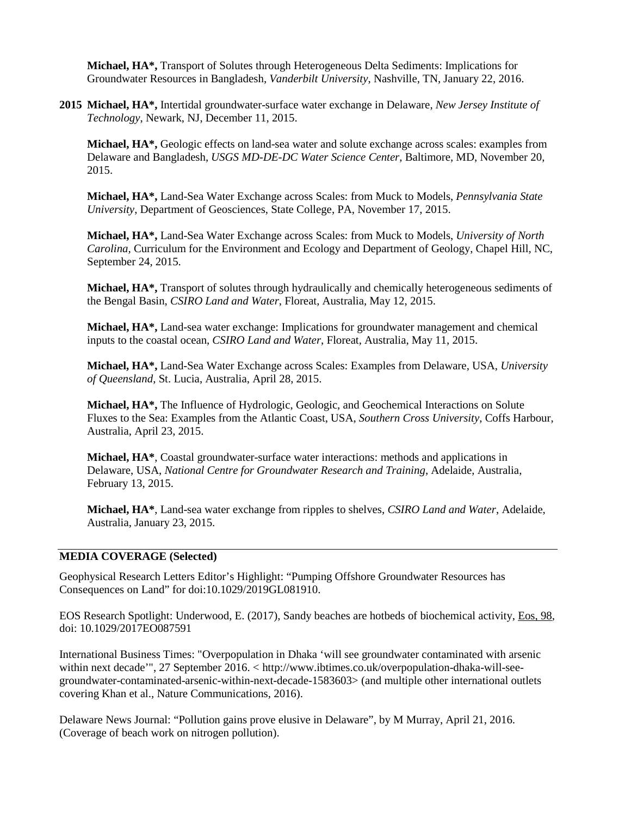**Michael, HA\*,** Transport of Solutes through Heterogeneous Delta Sediments: Implications for Groundwater Resources in Bangladesh, *Vanderbilt University*, Nashville, TN, January 22, 2016.

**2015 Michael, HA\*,** Intertidal groundwater-surface water exchange in Delaware, *New Jersey Institute of Technology*, Newark, NJ, December 11, 2015.

**Michael, HA\*,** Geologic effects on land-sea water and solute exchange across scales: examples from Delaware and Bangladesh, *USGS MD-DE-DC Water Science Center*, Baltimore, MD, November 20, 2015.

**Michael, HA\*,** Land-Sea Water Exchange across Scales: from Muck to Models, *Pennsylvania State University*, Department of Geosciences, State College, PA, November 17, 2015.

**Michael, HA\*,** Land-Sea Water Exchange across Scales: from Muck to Models, *University of North Carolina,* Curriculum for the Environment and Ecology and Department of Geology, Chapel Hill, NC, September 24, 2015.

**Michael, HA\*,** Transport of solutes through hydraulically and chemically heterogeneous sediments of the Bengal Basin, *CSIRO Land and Water*, Floreat, Australia, May 12, 2015.

**Michael, HA\*,** Land-sea water exchange: Implications for groundwater management and chemical inputs to the coastal ocean, *CSIRO Land and Water*, Floreat, Australia, May 11, 2015.

**Michael, HA\*,** Land-Sea Water Exchange across Scales: Examples from Delaware, USA, *University of Queensland*, St. Lucia, Australia, April 28, 2015.

**Michael, HA\*,** The Influence of Hydrologic, Geologic, and Geochemical Interactions on Solute Fluxes to the Sea: Examples from the Atlantic Coast, USA, *Southern Cross University*, Coffs Harbour, Australia, April 23, 2015.

**Michael, HA\***, Coastal groundwater-surface water interactions: methods and applications in Delaware, USA, *National Centre for Groundwater Research and Training*, Adelaide, Australia, February 13, 2015.

**Michael, HA\***, Land-sea water exchange from ripples to shelves, *CSIRO Land and Water*, Adelaide, Australia, January 23, 2015.

## **MEDIA COVERAGE (Selected)**

Geophysical Research Letters Editor's Highlight: "Pumping Offshore Groundwater Resources has Consequences on Land" for doi:10.1029/2019GL081910.

EOS Research Spotlight: Underwood, E. (2017), Sandy beaches are hotbeds of biochemical activity, Eos, 98*,* doi: 10.1029/2017EO087591

International Business Times: "Overpopulation in Dhaka 'will see groundwater contaminated with arsenic within next decade'", 27 September 2016. < http://www.ibtimes.co.uk/overpopulation-dhaka-will-seegroundwater-contaminated-arsenic-within-next-decade-1583603> (and multiple other international outlets covering Khan et al., Nature Communications, 2016).

Delaware News Journal: "Pollution gains prove elusive in Delaware", by M Murray, April 21, 2016. (Coverage of beach work on nitrogen pollution).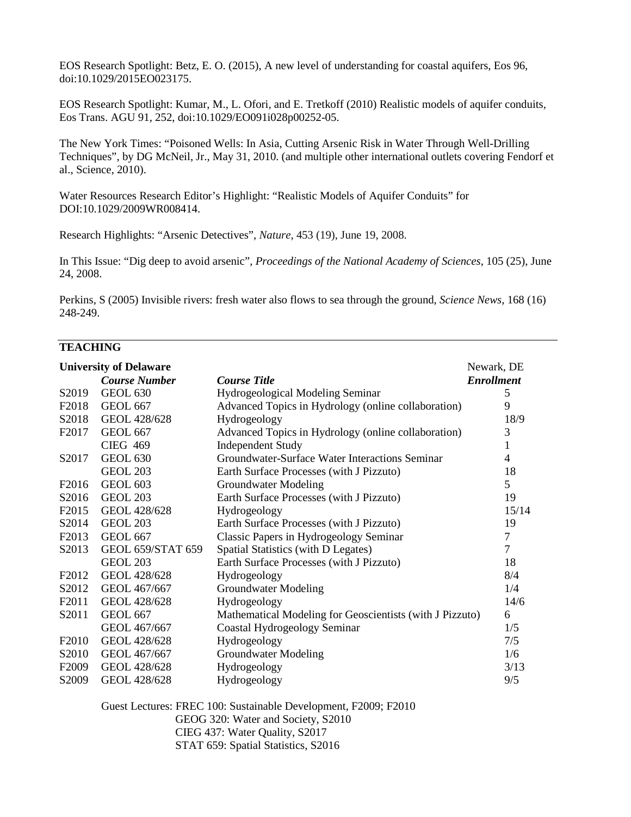EOS Research Spotlight: Betz, E. O. (2015), A new level of understanding for coastal aquifers, Eos 96, doi:10.1029/2015EO023175.

EOS Research Spotlight: Kumar, M.*,* L. Ofori*,* and E. Tretkoff (2010) Realistic models of aquifer conduits*,*  Eos Trans. AGU 91, 252, doi:10.1029/EO091i028p00252-05.

The New York Times: "Poisoned Wells: In Asia, Cutting Arsenic Risk in Water Through Well-Drilling Techniques", by DG McNeil, Jr., May 31, 2010. (and multiple other international outlets covering Fendorf et al., Science, 2010).

Water Resources Research Editor's Highlight: "Realistic Models of Aquifer Conduits" for DOI:10.1029/2009WR008414.

Research Highlights: "Arsenic Detectives", *Nature*, 453 (19), June 19, 2008.

In This Issue: "Dig deep to avoid arsenic", *Proceedings of the National Academy of Sciences*, 105 (25), June 24, 2008.

Perkins, S (2005) Invisible rivers: fresh water also flows to sea through the ground, *Science News*, 168 (16) 248-249.

## **TEACHING**

| <b>University of Delaware</b> |                          |                                                          |                   |
|-------------------------------|--------------------------|----------------------------------------------------------|-------------------|
|                               | <b>Course Number</b>     | <b>Course Title</b>                                      | <b>Enrollment</b> |
| S2019                         | <b>GEOL 630</b>          | Hydrogeological Modeling Seminar                         | 5                 |
| F <sub>2018</sub>             | <b>GEOL 667</b>          | Advanced Topics in Hydrology (online collaboration)      | 9                 |
| S2018                         | GEOL 428/628             | Hydrogeology                                             | 18/9              |
| F2017                         | <b>GEOL 667</b>          | Advanced Topics in Hydrology (online collaboration)      | 3                 |
|                               | <b>CIEG 469</b>          | <b>Independent Study</b>                                 | 1                 |
| S2017                         | <b>GEOL 630</b>          | Groundwater-Surface Water Interactions Seminar           | 4                 |
|                               | <b>GEOL 203</b>          | Earth Surface Processes (with J Pizzuto)                 | 18                |
| F <sub>2016</sub>             | <b>GEOL 603</b>          | Groundwater Modeling                                     | 5                 |
| S2016                         | <b>GEOL 203</b>          | Earth Surface Processes (with J Pizzuto)                 | 19                |
| F <sub>2015</sub>             | GEOL 428/628             | Hydrogeology                                             | 15/14             |
| S2014                         | <b>GEOL 203</b>          | Earth Surface Processes (with J Pizzuto)                 | 19                |
| F2013                         | <b>GEOL 667</b>          | <b>Classic Papers in Hydrogeology Seminar</b>            | $\tau$            |
| S2013                         | <b>GEOL 659/STAT 659</b> | Spatial Statistics (with D Legates)                      | $\overline{7}$    |
|                               | <b>GEOL 203</b>          | Earth Surface Processes (with J Pizzuto)                 | 18                |
| F <sub>2012</sub>             | GEOL 428/628             | Hydrogeology                                             | 8/4               |
| S2012                         | GEOL 467/667             | Groundwater Modeling                                     | 1/4               |
| F2011                         | GEOL 428/628             | Hydrogeology                                             | 14/6              |
| S2011                         | <b>GEOL 667</b>          | Mathematical Modeling for Geoscientists (with J Pizzuto) | 6                 |
|                               | GEOL 467/667             | Coastal Hydrogeology Seminar                             | 1/5               |
| F2010                         | GEOL 428/628             | Hydrogeology                                             | 7/5               |
| S2010                         | GEOL 467/667             | <b>Groundwater Modeling</b>                              | 1/6               |
| F <sub>2009</sub>             | GEOL 428/628             | Hydrogeology                                             | 3/13              |
| S2009                         | GEOL 428/628             | Hydrogeology                                             | 9/5               |

Guest Lectures: FREC 100: Sustainable Development, F2009; F2010 GEOG 320: Water and Society, S2010 CIEG 437: Water Quality, S2017 STAT 659: Spatial Statistics, S2016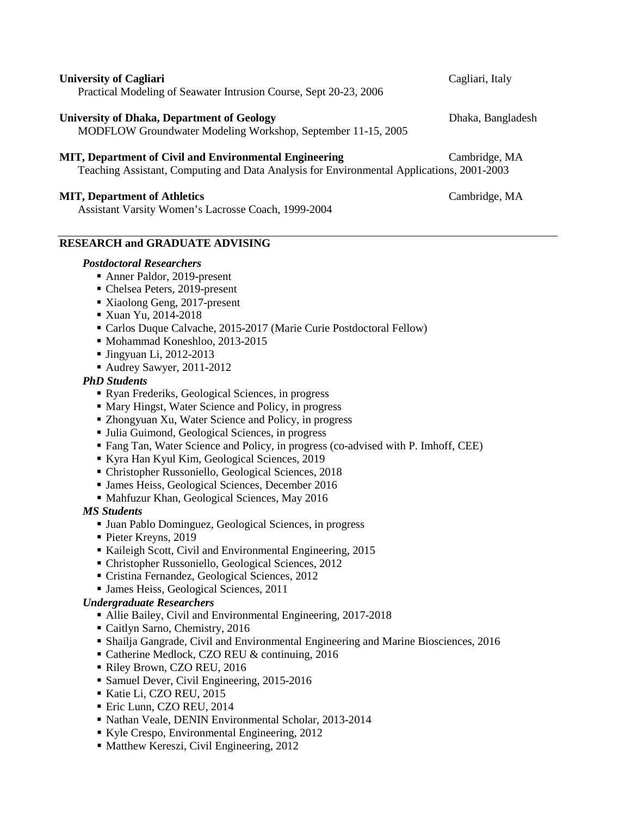| CHIVELBICY OF CALIMBER<br>Practical Modeling of Seawater Intrusion Course, Sept 20-23, 2006                                                         | $\alpha$          |
|-----------------------------------------------------------------------------------------------------------------------------------------------------|-------------------|
| <b>University of Dhaka, Department of Geology</b><br>MODFLOW Groundwater Modeling Workshop, September 11-15, 2005                                   | Dhaka, Bangladesh |
| MIT, Department of Civil and Environmental Engineering<br>Teaching Assistant, Computing and Data Analysis for Environmental Applications, 2001-2003 | Cambridge, MA     |
|                                                                                                                                                     |                   |

### **MIT, Department of Athletics** Cambridge, MA

Assistant Varsity Women's Lacrosse Coach, 1999-2004

## **RESEARCH and GRADUATE ADVISING**

#### *Postdoctoral Researchers*

- Anner Paldor, 2019-present
- Chelsea Peters, 2019-present
- Xiaolong Geng, 2017-present
- **Xuan Yu, 2014-2018**
- Carlos Duque Calvache, 2015-2017 (Marie Curie Postdoctoral Fellow)
- Mohammad Koneshloo, 2013-2015
- $\blacksquare$  Jingyuan Li, 2012-2013
- Audrey Sawyer, 2011-2012

### *PhD Students*

- Ryan Frederiks, Geological Sciences, in progress
- Mary Hingst, Water Science and Policy, in progress
- Zhongyuan Xu, Water Science and Policy, in progress
- Julia Guimond, Geological Sciences, in progress
- Fang Tan, Water Science and Policy, in progress (co-advised with P. Imhoff, CEE)
- Kyra Han Kyul Kim, Geological Sciences, 2019
- Christopher Russoniello, Geological Sciences, 2018
- James Heiss, Geological Sciences, December 2016
- Mahfuzur Khan, Geological Sciences, May 2016

#### *MS Students*

- Juan Pablo Dominguez, Geological Sciences, in progress
- Pieter Kreyns, 2019
- Kaileigh Scott, Civil and Environmental Engineering, 2015
- Christopher Russoniello, Geological Sciences, 2012
- Cristina Fernandez, Geological Sciences, 2012
- James Heiss, Geological Sciences, 2011

#### *Undergraduate Researchers*

- Allie Bailey, Civil and Environmental Engineering, 2017-2018
- Caitlyn Sarno, Chemistry, 2016
- Shailja Gangrade, Civil and Environmental Engineering and Marine Biosciences, 2016
- Catherine Medlock, CZO REU & continuing, 2016
- Riley Brown, CZO REU, 2016
- **Samuel Dever, Civil Engineering, 2015-2016**
- Katie Li, CZO REU, 2015
- Eric Lunn, CZO REU, 2014
- Nathan Veale, DENIN Environmental Scholar, 2013-2014
- Kyle Crespo, Environmental Engineering, 2012
- Matthew Kereszi, Civil Engineering, 2012

**University of Cagliari** Cagliari, Italy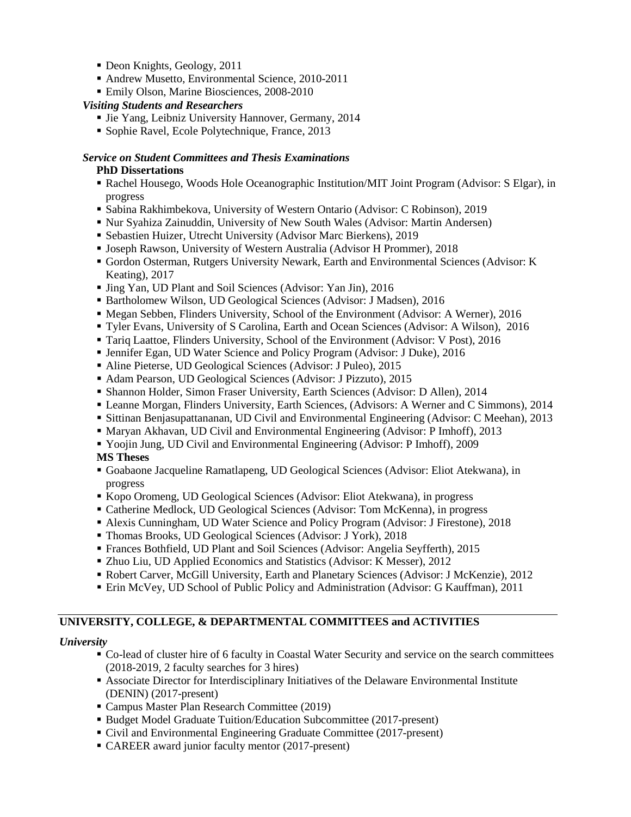- Deon Knights, Geology, 2011
- Andrew Musetto, Environmental Science, 2010-2011
- **Emily Olson, Marine Biosciences, 2008-2010**

## *Visiting Students and Researchers*

- **Jie Yang, Leibniz University Hannover, Germany, 2014**
- Sophie Ravel, Ecole Polytechnique, France, 2013

#### *Service on Student Committees and Thesis Examinations* **PhD Dissertations**

- Rachel Housego, Woods Hole Oceanographic Institution/MIT Joint Program (Advisor: S Elgar), in progress
- Sabina Rakhimbekova, University of Western Ontario (Advisor: C Robinson), 2019
- Nur Syahiza Zainuddin, University of New South Wales (Advisor: Martin Andersen)
- Sebastien Huizer, Utrecht University (Advisor Marc Bierkens), 2019
- Joseph Rawson, University of Western Australia (Advisor H Prommer), 2018
- Gordon Osterman, Rutgers University Newark, Earth and Environmental Sciences (Advisor: K Keating), 2017
- Jing Yan, UD Plant and Soil Sciences (Advisor: Yan Jin), 2016
- Bartholomew Wilson, UD Geological Sciences (Advisor: J Madsen), 2016
- Megan Sebben, Flinders University, School of the Environment (Advisor: A Werner), 2016
- Tyler Evans, University of S Carolina, Earth and Ocean Sciences (Advisor: A Wilson), 2016
- Tariq Laattoe, Flinders University, School of the Environment (Advisor: V Post), 2016
- Jennifer Egan, UD Water Science and Policy Program (Advisor: J Duke), 2016
- Aline Pieterse, UD Geological Sciences (Advisor: J Puleo), 2015
- Adam Pearson, UD Geological Sciences (Advisor: J Pizzuto), 2015
- Shannon Holder, Simon Fraser University, Earth Sciences (Advisor: D Allen), 2014
- Leanne Morgan, Flinders University, Earth Sciences, (Advisors: A Werner and C Simmons), 2014
- Sittinan Benjasupattananan, UD Civil and Environmental Engineering (Advisor: C Meehan), 2013
- Maryan Akhavan, UD Civil and Environmental Engineering (Advisor: P Imhoff), 2013
- Yoojin Jung, UD Civil and Environmental Engineering (Advisor: P Imhoff), 2009

## **MS Theses**

- Goabaone Jacqueline Ramatlapeng, UD Geological Sciences (Advisor: Eliot Atekwana), in progress
- Kopo Oromeng, UD Geological Sciences (Advisor: Eliot Atekwana), in progress
- Catherine Medlock, UD Geological Sciences (Advisor: Tom McKenna), in progress
- Alexis Cunningham, UD Water Science and Policy Program (Advisor: J Firestone), 2018
- Thomas Brooks, UD Geological Sciences (Advisor: J York), 2018
- Frances Bothfield, UD Plant and Soil Sciences (Advisor: Angelia Seyfferth), 2015
- Zhuo Liu, UD Applied Economics and Statistics (Advisor: K Messer), 2012
- Robert Carver, McGill University, Earth and Planetary Sciences (Advisor: J McKenzie), 2012
- Erin McVey, UD School of Public Policy and Administration (Advisor: G Kauffman), 2011

## **UNIVERSITY, COLLEGE, & DEPARTMENTAL COMMITTEES and ACTIVITIES**

## *University*

- Co-lead of cluster hire of 6 faculty in Coastal Water Security and service on the search committees (2018-2019, 2 faculty searches for 3 hires)
- Associate Director for Interdisciplinary Initiatives of the Delaware Environmental Institute (DENIN) (2017-present)
- Campus Master Plan Research Committee (2019)
- Budget Model Graduate Tuition/Education Subcommittee (2017-present)
- Civil and Environmental Engineering Graduate Committee (2017-present)
- CAREER award junior faculty mentor (2017-present)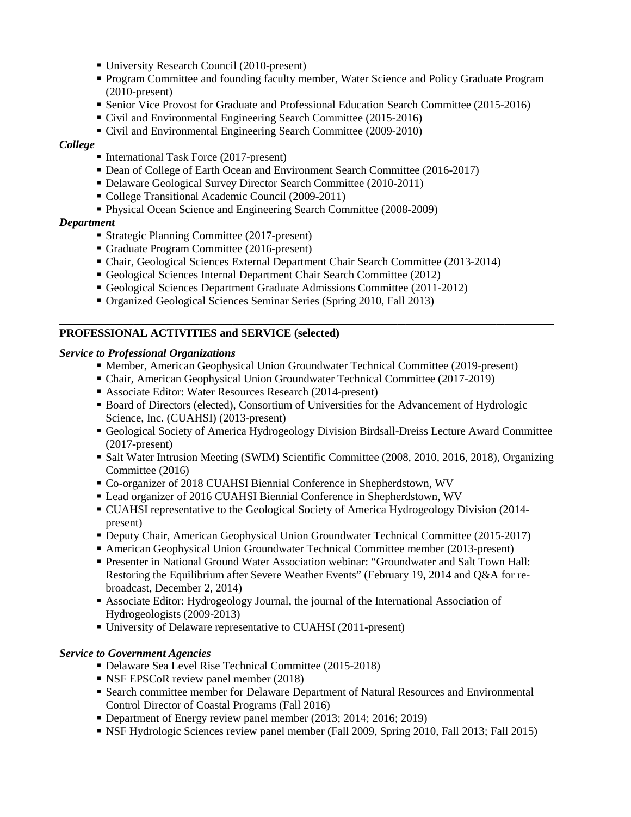- University Research Council (2010-present)
- Program Committee and founding faculty member, Water Science and Policy Graduate Program (2010-present)
- **Senior Vice Provost for Graduate and Professional Education Search Committee (2015-2016)**
- Civil and Environmental Engineering Search Committee (2015-2016)
- Civil and Environmental Engineering Search Committee (2009-2010)

### *College*

- International Task Force (2017-present)
- Dean of College of Earth Ocean and Environment Search Committee (2016-2017)
- Delaware Geological Survey Director Search Committee (2010-2011)
- College Transitional Academic Council (2009-2011)
- Physical Ocean Science and Engineering Search Committee (2008-2009)

## *Department*

- Strategic Planning Committee (2017-present)
- Graduate Program Committee (2016-present)
- Chair, Geological Sciences External Department Chair Search Committee (2013-2014)
- Geological Sciences Internal Department Chair Search Committee (2012)
- Geological Sciences Department Graduate Admissions Committee (2011-2012)
- Organized Geological Sciences Seminar Series (Spring 2010, Fall 2013)

## **\_\_\_\_\_\_\_\_\_\_\_\_\_\_\_\_\_\_\_\_\_\_\_\_\_\_\_\_\_\_\_\_\_\_\_\_\_\_\_\_\_\_\_\_\_\_\_\_\_\_\_\_\_\_\_\_\_\_\_\_ PROFESSIONAL ACTIVITIES and SERVICE (selected)**

## *Service to Professional Organizations*

- Member, American Geophysical Union Groundwater Technical Committee (2019-present)
- Chair, American Geophysical Union Groundwater Technical Committee (2017-2019)
- Associate Editor: Water Resources Research (2014-present)
- Board of Directors (elected), Consortium of Universities for the Advancement of Hydrologic Science, Inc. (CUAHSI) (2013-present)
- Geological Society of America Hydrogeology Division Birdsall-Dreiss Lecture Award Committee (2017-present)
- **Salt Water Intrusion Meeting (SWIM) Scientific Committee (2008, 2010, 2016, 2018), Organizing** Committee (2016)
- Co-organizer of 2018 CUAHSI Biennial Conference in Shepherdstown, WV
- Lead organizer of 2016 CUAHSI Biennial Conference in Shepherdstown, WV
- CUAHSI representative to the Geological Society of America Hydrogeology Division (2014 present)
- Deputy Chair, American Geophysical Union Groundwater Technical Committee (2015-2017)
- American Geophysical Union Groundwater Technical Committee member (2013-present)
- Presenter in National Ground Water Association webinar: "Groundwater and Salt Town Hall: Restoring the Equilibrium after Severe Weather Events" (February 19, 2014 and Q&A for rebroadcast, December 2, 2014)
- Associate Editor: Hydrogeology Journal, the journal of the International Association of Hydrogeologists (2009-2013)
- University of Delaware representative to CUAHSI (2011-present)

## *Service to Government Agencies*

- Delaware Sea Level Rise Technical Committee (2015-2018)
- **NSF EPSCoR review panel member (2018)**
- Search committee member for Delaware Department of Natural Resources and Environmental Control Director of Coastal Programs (Fall 2016)
- Department of Energy review panel member (2013; 2014; 2016; 2019)
- NSF Hydrologic Sciences review panel member (Fall 2009, Spring 2010, Fall 2013; Fall 2015)